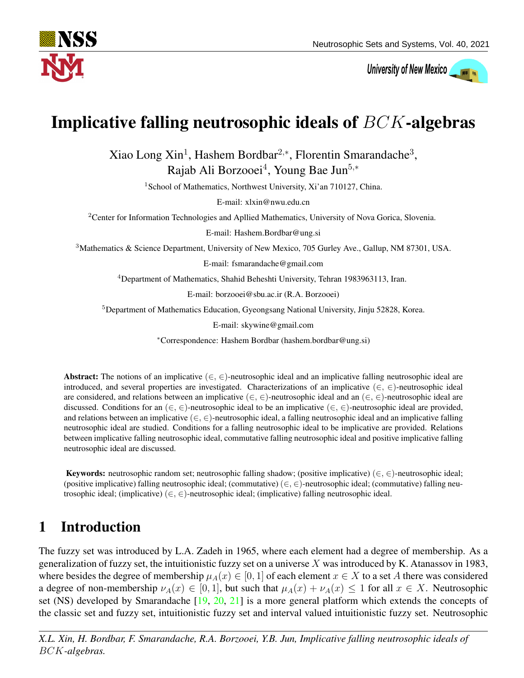

# University of New Mexico

## Implicative falling neutrosophic ideals of BCK-algebras

Xiao Long Xin<sup>1</sup>, Hashem Bordbar<sup>2,\*</sup>, Florentin Smarandache<sup>3</sup>, Rajab Ali Borzooei<sup>4</sup>, Young Bae Jun<sup>5,\*</sup>

<sup>1</sup> School of Mathematics, Northwest University, Xi'an 710127, China.

E-mail: xlxin@nwu.edu.cn

<sup>2</sup>Center for Information Technologies and Apllied Mathematics, University of Nova Gorica, Slovenia.

E-mail: Hashem.Bordbar@ung.si

<sup>3</sup>Mathematics & Science Department, University of New Mexico, 705 Gurley Ave., Gallup, NM 87301, USA.

E-mail: fsmarandache@gmail.com

<sup>4</sup>Department of Mathematics, Shahid Beheshti University, Tehran 1983963113, Iran.

E-mail: borzooei@sbu.ac.ir (R.A. Borzooei)

<sup>5</sup>Department of Mathematics Education, Gyeongsang National University, Jinju 52828, Korea.

E-mail: skywine@gmail.com

<sup>∗</sup>Correspondence: Hashem Bordbar (hashem.bordbar@ung.si)

Abstract: The notions of an implicative  $(\in, \in)$ -neutrosophic ideal and an implicative falling neutrosophic ideal are introduced, and several properties are investigated. Characterizations of an implicative  $(\in, \in)$ -neutrosophic ideal are considered, and relations between an implicative (∈, ∈)-neutrosophic ideal and an (∈, ∈)-neutrosophic ideal are discussed. Conditions for an  $(\in, \in)$ -neutrosophic ideal to be an implicative  $(\in, \in)$ -neutrosophic ideal are provided, and relations between an implicative  $(\in, \in)$ -neutrosophic ideal, a falling neutrosophic ideal and an implicative falling neutrosophic ideal are studied. Conditions for a falling neutrosophic ideal to be implicative are provided. Relations between implicative falling neutrosophic ideal, commutative falling neutrosophic ideal and positive implicative falling neutrosophic ideal are discussed.

Keywords: neutrosophic random set; neutrosophic falling shadow; (positive implicative) ( $\in, \in$ )-neutrosophic ideal; (positive implicative) falling neutrosophic ideal; (commutative) ( $\in, \in$ )-neutrosophic ideal; (commutative) falling neutrosophic ideal; (implicative) (∈, ∈)-neutrosophic ideal; (implicative) falling neutrosophic ideal.

### 1 Introduction

The fuzzy set was introduced by L.A. Zadeh in 1965, where each element had a degree of membership. As a generalization of fuzzy set, the intuitionistic fuzzy set on a universe X was introduced by K. Atanassov in 1983, where besides the degree of membership  $\mu_A(x) \in [0,1]$  of each element  $x \in X$  to a set A there was considered a degree of non-membership  $\nu_A(x) \in [0, 1]$ , but such that  $\mu_A(x) + \nu_A(x) \le 1$  for all  $x \in X$ . Neutrosophic set (NS) developed by Smarandache [\[19,](#page-20-0) [20,](#page-20-1) [21\]](#page-20-2) is a more general platform which extends the concepts of the classic set and fuzzy set, intuitionistic fuzzy set and interval valued intuitionistic fuzzy set. Neutrosophic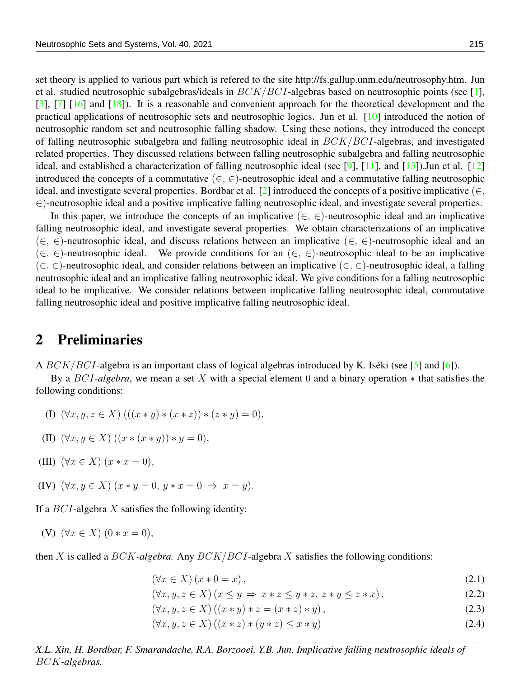set theory is applied to various part which is refered to the site http://fs.gallup.unm.edu/neutrosophy.htm. Jun et al. studied neutrosophic subalgebras/ideals in  $BCK/BCI$ -algebras based on neutrosophic points (see [\[1\]](#page-19-0), [\[3\]](#page-19-1), [\[7\]](#page-19-2) [\[16\]](#page-19-3) and [\[18\]](#page-20-3)). It is a reasonable and convenient approach for the theoretical development and the practical applications of neutrosophic sets and neutrosophic logics. Jun et al. [\[10\]](#page-19-4) introduced the notion of neutrosophic random set and neutrosophic falling shadow. Using these notions, they introduced the concept of falling neutrosophic subalgebra and falling neutrosophic ideal in BCK/BCI-algebras, and investigated related properties. They discussed relations between falling neutrosophic subalgebra and falling neutrosophic ideal, and established a characterization of falling neutrosophic ideal (see [\[9\]](#page-19-5), [\[11\]](#page-19-6), and [\[13\]](#page-19-7)).Jun et al. [\[12\]](#page-19-8) introduced the concepts of a commutative  $(\in, \in)$ -neutrosophic ideal and a commutative falling neutrosophic ideal, and investigate several properties. Bordbar et al. [\[2\]](#page-19-9) introduced the concepts of a positive implicative ( $\in$ , ∈)-neutrosophic ideal and a positive implicative falling neutrosophic ideal, and investigate several properties.

In this paper, we introduce the concepts of an implicative  $(\in, \in)$ -neutrosophic ideal and an implicative falling neutrosophic ideal, and investigate several properties. We obtain characterizations of an implicative  $(\in, \in)$ -neutrosophic ideal, and discuss relations between an implicative  $(\in, \in)$ -neutrosophic ideal and an  $(\in, \in)$ -neutrosophic ideal. We provide conditions for an  $(\in, \in)$ -neutrosophic ideal to be an implicative  $(\in, \in)$ -neutrosophic ideal, and consider relations between an implicative  $(\in, \in)$ -neutrosophic ideal, a falling neutrosophic ideal and an implicative falling neutrosophic ideal. We give conditions for a falling neutrosophic ideal to be implicative. We consider relations between implicative falling neutrosophic ideal, commutative falling neutrosophic ideal and positive implicative falling neutrosophic ideal.

#### 2 Preliminaries

A  $BCK/BCI$ -algebra is an important class of logical algebras introduced by K. Iséki (see [[5\]](#page-19-10) and [\[6\]](#page-19-11)).

By a BCI*-algebra*, we mean a set X with a special element 0 and a binary operation ∗ that satisfies the following conditions:

(I)  $(\forall x, y, z \in X)$   $(((x * y) * (x * z)) * (z * y) = 0),$ 

(II) 
$$
(\forall x, y \in X) ((x * (x * y)) * y = 0),
$$

- (III)  $(\forall x \in X)$   $(x * x = 0)$ ,
- (IV)  $(\forall x, y \in X)$   $(x * y = 0, y * x = 0 \Rightarrow x = y)$ .

If a  $BCI$ -algebra X satisfies the following identity:

(V) 
$$
(\forall x \in X) (0 * x = 0),
$$

then X is called a BCK*-algebra.* Any BCK/BCI-algebra X satisfies the following conditions:

<span id="page-1-0"></span> $(\forall x \in X)(x * 0 = x),$  (2.1)

$$
(\forall x, y, z \in X) (x \le y \Rightarrow x * z \le y * z, z * y \le z * x), \tag{2.2}
$$

 $(\forall x, y, z \in X) ((x * y) * z = (x * z) * y),$  (2.3)

 $(\forall x, y, z \in X) ((x * z) * (y * z) \leq x * y)$  (2.4)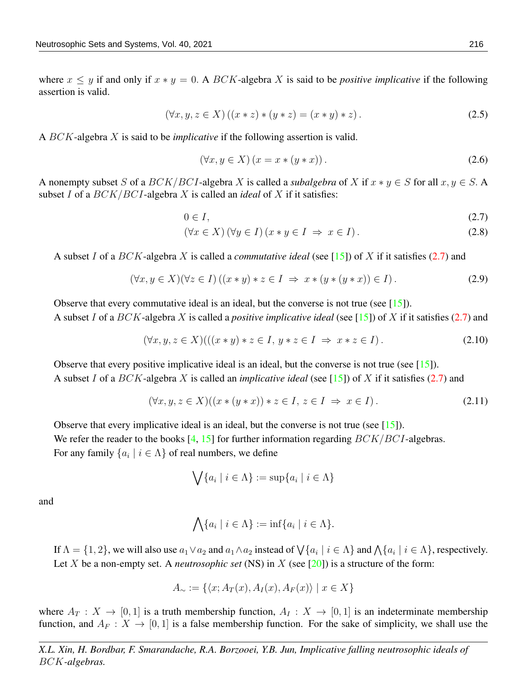where  $x \leq y$  if and only if  $x * y = 0$ . A BCK-algebra X is said to be *positive implicative* if the following assertion is valid.

$$
(\forall x, y, z \in X) ((x * z) * (y * z) = (x * y) * z).
$$
\n(2.5)

A BCK-algebra X is said to be *implicative* if the following assertion is valid.

$$
(\forall x, y \in X) (x = x * (y * x)). \tag{2.6}
$$

A nonempty subset S of a  $BCK/BCI$ -algebra X is called a *subalgebra* of X if  $x * y \in S$  for all  $x, y \in S$ . subset I of a BCK/BCI-algebra X is called an *ideal* of X if it satisfies:

<span id="page-2-0"></span>
$$
0 \in I,\tag{2.7}
$$

$$
(\forall x \in X) (\forall y \in I) (x * y \in I \Rightarrow x \in I).
$$
\n
$$
(2.8)
$$

A subset I of a BCK-algebra X is called a *commutative ideal* (see [\[15\]](#page-19-12)) of X if it satisfies [\(2.7\)](#page-2-0) and

$$
(\forall x, y \in X)(\forall z \in I) ((x * y) * z \in I \Rightarrow x * (y * (y * x)) \in I).
$$
\n
$$
(2.9)
$$

Observe that every commutative ideal is an ideal, but the converse is not true (see [\[15\]](#page-19-12)). A subset I of a BCK-algebra X is called a *positive implicative ideal* (see [\[15\]](#page-19-12)) of X if it satisfies [\(2.7\)](#page-2-0) and

$$
(\forall x, y, z \in X) (((x * y) * z \in I, y * z \in I \Rightarrow x * z \in I).
$$
\n
$$
(2.10)
$$

Observe that every positive implicative ideal is an ideal, but the converse is not true (see [\[15\]](#page-19-12)). A subset I of a BCK-algebra X is called an *implicative ideal* (see [\[15\]](#page-19-12)) of X if it satisfies [\(2.7\)](#page-2-0) and

$$
(\forall x, y, z \in X)((x * (y * x)) * z \in I, z \in I \Rightarrow x \in I).
$$
\n
$$
(2.11)
$$

Observe that every implicative ideal is an ideal, but the converse is not true (see [\[15\]](#page-19-12)). We refer the reader to the books  $[4, 15]$  $[4, 15]$  $[4, 15]$  for further information regarding  $BCK/BCI$ -algebras. For any family  $\{a_i \mid i \in \Lambda\}$  of real numbers, we define

<span id="page-2-1"></span>
$$
\bigvee \{a_i \mid i \in \Lambda\} := \sup \{a_i \mid i \in \Lambda\}
$$

and

$$
\bigwedge \{a_i \mid i \in \Lambda\} := \inf \{a_i \mid i \in \Lambda\}.
$$

If  $\Lambda = \{1,2\}$ , we will also use  $a_1 \vee a_2$  and  $a_1 \wedge a_2$  instead of  $\bigvee \{a_i \mid i \in \Lambda\}$  and  $\bigwedge \{a_i \mid i \in \Lambda\}$ , respectively. Let X be a non-empty set. A *neutrosophic set* (NS) in X (see [\[20\]](#page-20-1)) is a structure of the form:

$$
A_{\sim} := \{ \langle x; A_T(x), A_I(x), A_F(x) \rangle \mid x \in X \}
$$

where  $A_T : X \to [0, 1]$  is a truth membership function,  $A_I : X \to [0, 1]$  is an indeterminate membership function, and  $A_F : X \to [0, 1]$  is a false membership function. For the sake of simplicity, we shall use the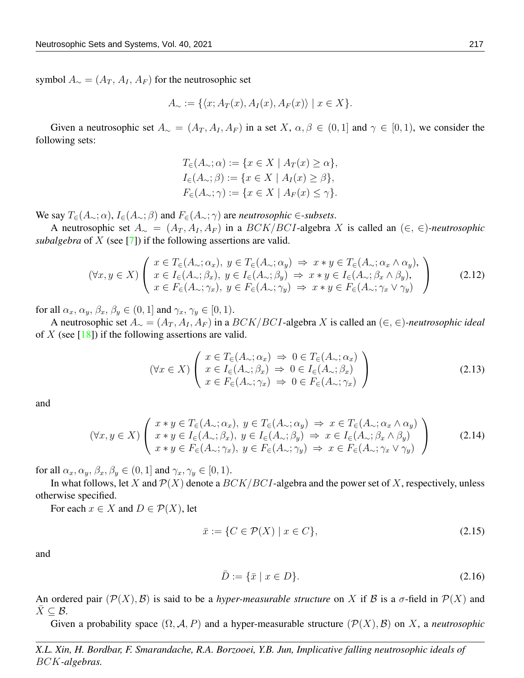symbol  $A_{\sim} = (A_T, A_I, A_F)$  for the neutrosophic set

$$
A_{\sim} := \{ \langle x; A_T(x), A_I(x), A_F(x) \rangle \mid x \in X \}.
$$

Given a neutrosophic set  $A_\sim = (A_T, A_I, A_F)$  in a set  $X, \alpha, \beta \in (0, 1]$  and  $\gamma \in [0, 1)$ , we consider the following sets:

$$
T_{\in}(A_{\sim}; \alpha) := \{x \in X \mid A_T(x) \ge \alpha\},
$$
  
\n
$$
I_{\in}(A_{\sim}; \beta) := \{x \in X \mid A_I(x) \ge \beta\},
$$
  
\n
$$
F_{\in}(A_{\sim}; \gamma) := \{x \in X \mid A_F(x) \le \gamma\}.
$$

We say  $T_{\in}(A_{\sim}; \alpha)$ ,  $I_{\in}(A_{\sim}; \beta)$  and  $F_{\in}(A_{\sim}; \gamma)$  are *neutrosophic*  $\in$ *-subsets.* 

A neutrosophic set  $A_\sim = (A_T, A_I, A_F)$  in a BCK/BCI-algebra X is called an  $(∈, ∈)$ -neutrosophic *subalgebra* of X (see [\[7\]](#page-19-2)) if the following assertions are valid.

$$
(\forall x, y \in X) \left( \begin{array}{l} x \in T_{\in}(A_{\sim}; \alpha_{x}), \ y \in T_{\in}(A_{\sim}; \alpha_{y}) \Rightarrow x * y \in T_{\in}(A_{\sim}; \alpha_{x} \wedge \alpha_{y}), \\ x \in I_{\in}(A_{\sim}; \beta_{x}), \ y \in I_{\in}(A_{\sim}; \beta_{y}) \Rightarrow x * y \in I_{\in}(A_{\sim}; \beta_{x} \wedge \beta_{y}), \\ x \in F_{\in}(A_{\sim}; \gamma_{x}), \ y \in F_{\in}(A_{\sim}; \gamma_{y}) \Rightarrow x * y \in F_{\in}(A_{\sim}; \gamma_{x} \vee \gamma_{y}) \end{array} \right)
$$
(2.12)

for all  $\alpha_x, \alpha_y, \beta_x, \beta_y \in (0, 1]$  and  $\gamma_x, \gamma_y \in [0, 1)$ .

A neutrosophic set  $A_ ∼ = (A_T, A_I, A_F)$  in a  $BCK/BCI$ -algebra X is called an  $(∈, ∈)$ -neutrosophic ideal of X (see  $[18]$ ) if the following assertions are valid.

$$
(\forall x \in X) \left( \begin{array}{l} x \in T_{\in}(A_{\sim}; \alpha_{x}) \implies 0 \in T_{\in}(A_{\sim}; \alpha_{x}) \\ x \in I_{\in}(A_{\sim}; \beta_{x}) \implies 0 \in I_{\in}(A_{\sim}; \beta_{x}) \\ x \in F_{\in}(A_{\sim}; \gamma_{x}) \implies 0 \in F_{\in}(A_{\sim}; \gamma_{x}) \end{array} \right)
$$
(2.13)

and

$$
(\forall x, y \in X) \left( \begin{array}{c} x * y \in T_{\in}(A_{\sim}; \alpha_x), \ y \in T_{\in}(A_{\sim}; \alpha_y) \Rightarrow x \in T_{\in}(A_{\sim}; \alpha_x \wedge \alpha_y) \\ x * y \in I_{\in}(A_{\sim}; \beta_x), \ y \in I_{\in}(A_{\sim}; \beta_y) \Rightarrow x \in I_{\in}(A_{\sim}; \beta_x \wedge \beta_y) \\ x * y \in F_{\in}(A_{\sim}; \gamma_x), \ y \in F_{\in}(A_{\sim}; \gamma_y) \Rightarrow x \in F_{\in}(A_{\sim}; \gamma_x \vee \gamma_y) \end{array} \right)
$$
(2.14)

for all  $\alpha_x, \alpha_y, \beta_x, \beta_y \in (0, 1]$  and  $\gamma_x, \gamma_y \in [0, 1)$ .

In what follows, let X and  $\mathcal{P}(X)$  denote a  $BCK/BCI$ -algebra and the power set of X, respectively, unless otherwise specified.

For each  $x \in X$  and  $D \in \mathcal{P}(X)$ , let

<span id="page-3-0"></span>
$$
\bar{x} := \{ C \in \mathcal{P}(X) \mid x \in C \},\tag{2.15}
$$

and

$$
\bar{D} := \{\bar{x} \mid x \in D\}.\tag{2.16}
$$

An ordered pair  $(\mathcal{P}(X), \mathcal{B})$  is said to be a *hyper-measurable structure* on X if B is a  $\sigma$ -field in  $\mathcal{P}(X)$  and  $X \subseteq \mathcal{B}$ .

Given a probability space  $(\Omega, \mathcal{A}, P)$  and a hyper-measurable structure  $(\mathcal{P}(X), \mathcal{B})$  on X, a *neutrosophic*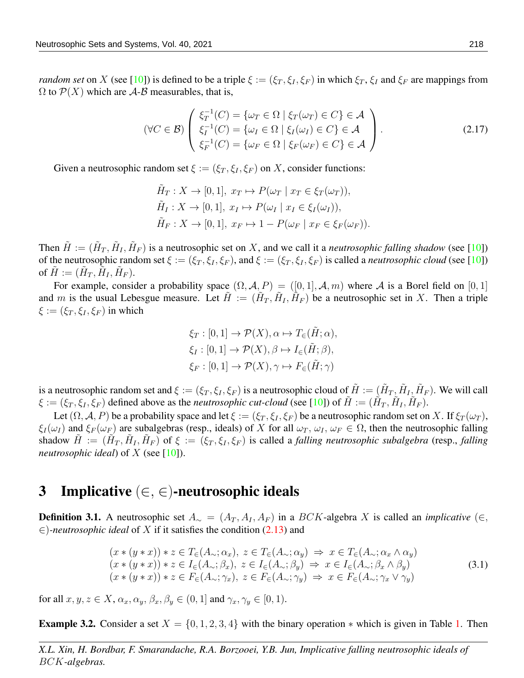*random set* on X (see [\[10\]](#page-19-4)) is defined to be a triple  $\xi := (\xi_T, \xi_I, \xi_F)$  in which  $\xi_T, \xi_I$  and  $\xi_F$  are mappings from  $\Omega$  to  $\mathcal{P}(X)$  which are A-B measurables, that is,

$$
(\forall C \in \mathcal{B}) \begin{pmatrix} \xi_T^{-1}(C) = {\omega_T \in \Omega \mid \xi_T(\omega_T) \in C} \in \mathcal{A} \\ \xi_I^{-1}(C) = {\omega_I \in \Omega \mid \xi_I(\omega_I) \in C} \in \mathcal{A} \\ \xi_F^{-1}(C) = {\omega_F \in \Omega \mid \xi_F(\omega_F) \in C} \in \mathcal{A} \end{pmatrix}.
$$
 (2.17)

Given a neutrosophic random set  $\xi := (\xi_T, \xi_I, \xi_F)$  on X, consider functions:

$$
\tilde{H}_T: X \to [0,1], \ x_T \mapsto P(\omega_T \mid x_T \in \xi_T(\omega_T)),
$$
  
\n
$$
\tilde{H}_I: X \to [0,1], \ x_I \mapsto P(\omega_I \mid x_I \in \xi_I(\omega_I)),
$$
  
\n
$$
\tilde{H}_F: X \to [0,1], \ x_F \mapsto 1 - P(\omega_F \mid x_F \in \xi_F(\omega_F)).
$$

Then  $\tilde{H} := (\tilde{H}_T, \tilde{H}_I, \tilde{H}_F)$  is a neutrosophic set on X, and we call it a *neutrosophic falling shadow* (see [\[10\]](#page-19-4)) of the neutrosophic random set  $\xi := (\xi_T, \xi_I, \xi_F)$ , and  $\xi := (\xi_T, \xi_I, \xi_F)$  is called a *neutrosophic cloud* (see [\[10\]](#page-19-4)) of  $\tilde{H} := (\tilde{H}_T, \tilde{H}_I, \tilde{H}_F).$ 

For example, consider a probability space  $(\Omega, \mathcal{A}, P) = ([0, 1], \mathcal{A}, m)$  where A is a Borel field on  $[0, 1]$ and m is the usual Lebesgue measure. Let  $\tilde{H} := (\tilde{H}_T, \tilde{H}_I, \tilde{H}_F)$  be a neutrosophic set in X. Then a triple  $\xi := (\xi_T, \xi_I, \xi_F)$  in which

$$
\xi_T : [0,1] \to \mathcal{P}(X), \alpha \mapsto T_{\in}(\tilde{H}; \alpha),
$$
  
\n
$$
\xi_I : [0,1] \to \mathcal{P}(X), \beta \mapsto I_{\in}(\tilde{H}; \beta),
$$
  
\n
$$
\xi_F : [0,1] \to \mathcal{P}(X), \gamma \mapsto F_{\in}(\tilde{H}; \gamma)
$$

is a neutrosophic random set and  $\xi := (\xi_T, \xi_I, \xi_F)$  is a neutrosophic cloud of  $\tilde{H} := (\tilde{H}_T, \tilde{H}_I, \tilde{H}_F)$ . We will call  $\xi := (\xi_T, \xi_I, \xi_F)$  defined above as the *neutrosophic cut-cloud* (see [\[10\]](#page-19-4)) of  $\tilde{H} := (\tilde{H}_T, \tilde{H}_I, \tilde{H}_F)$ .

Let  $(\Omega, \mathcal{A}, P)$  be a probability space and let  $\xi := (\xi_T, \xi_I, \xi_F)$  be a neutrosophic random set on X. If  $\xi_T(\omega_T)$ ,  $\xi_I(\omega_I)$  and  $\xi_F(\omega_F)$  are subalgebras (resp., ideals) of X for all  $\omega_T$ ,  $\omega_I$ ,  $\omega_F \in \Omega$ , then the neutrosophic falling shadow  $\tilde{H} := (\tilde{H}_T, \tilde{H}_I, \tilde{H}_F)$  of  $\xi := (\xi_T, \xi_I, \xi_F)$  is called a *falling neutrosophic subalgebra* (resp., *falling neutrosophic ideal*) of  $X$  (see [\[10\]](#page-19-4)).

#### 3 Implicative  $(\in, \in)$ -neutrosophic ideals

**Definition 3.1.** A neutrosophic set  $A_ ∼ = (A_T, A_I, A_F)$  in a BCK-algebra X is called an *implicative* (∈, ∈)*-neutrosophic ideal* of X if it satisfies the condition [\(2.13\)](#page-3-0) and

<span id="page-4-0"></span>
$$
(x * (y * x)) * z \in T_{\epsilon}(A_{\sim}; \alpha_x), z \in T_{\epsilon}(A_{\sim}; \alpha_y) \Rightarrow x \in T_{\epsilon}(A_{\sim}; \alpha_x \wedge \alpha_y)
$$
  
\n
$$
(x * (y * x)) * z \in I_{\epsilon}(A_{\sim}; \beta_x), z \in I_{\epsilon}(A_{\sim}; \beta_y) \Rightarrow x \in I_{\epsilon}(A_{\sim}; \beta_x \wedge \beta_y)
$$
  
\n
$$
(x * (y * x)) * z \in F_{\epsilon}(A_{\sim}; \gamma_x), z \in F_{\epsilon}(A_{\sim}; \gamma_y) \Rightarrow x \in F_{\epsilon}(A_{\sim}; \gamma_x \vee \gamma_y)
$$
  
\n(3.1)

for all  $x, y, z \in X$ ,  $\alpha_x, \alpha_y, \beta_x, \beta_y \in (0, 1]$  and  $\gamma_x, \gamma_y \in [0, 1)$ .

<span id="page-4-1"></span>**Example 3.2.** Consider a set  $X = \{0, 1, 2, 3, 4\}$  with the binary operation  $*$  which is given in Table [1.](#page-5-0) Then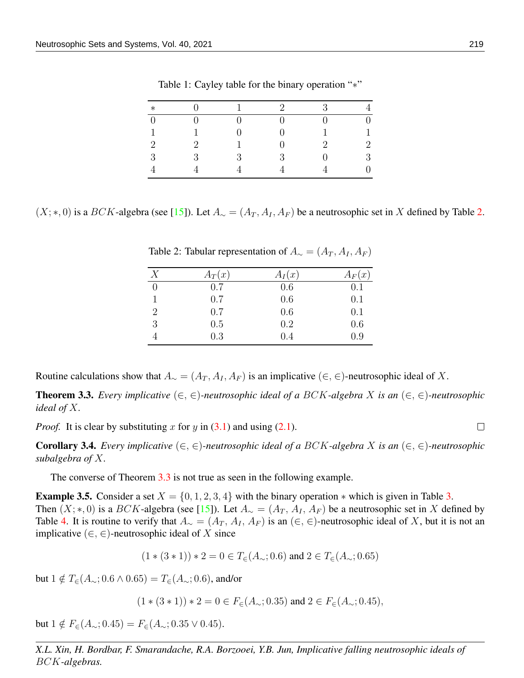| $\ast$         |                             |   | $\mathcal{D}$ | $\mathcal{R}$ |                  |
|----------------|-----------------------------|---|---------------|---------------|------------------|
| $\theta$       |                             |   |               | $\mathbf{0}$  | $\boldsymbol{0}$ |
|                |                             |   |               |               | 1                |
| $\overline{2}$ | $\mathcal{D}_{\mathcal{L}}$ |   |               | $\mathcal{D}$ | $\overline{2}$   |
| 3              | $\mathcal{R}$               | 3 | 3             |               | 3                |
|                |                             |   |               |               | 0                |

<span id="page-5-0"></span>Table 1: Cayley table for the binary operation "\*"

 $(X; *, 0)$  is a BCK-algebra (see [\[15\]](#page-19-12)). Let  $A_{\sim} = (A_T, A_I, A_F)$  be a neutrosophic set in X defined by Table [2.](#page-5-1)

| X              | $A_T(x)$ | $A_I(x)$ | $A_F(x)$ |
|----------------|----------|----------|----------|
| 0              | 0.7      | 0.6      | 0.1      |
|                | 0.7      | 0.6      | 0.1      |
| $\overline{2}$ | 0.7      | 0.6      | 0.1      |
| 3              | 0.5      | 0.2      | 0.6      |
|                | 0.3      | 0.4      | 0.9      |

<span id="page-5-1"></span>Table 2: Tabular representation of  $A_{\sim} = (A_T, A_I, A_F)$ 

Routine calculations show that  $A_ ∼ = (A_T, A_I, A_F)$  is an implicative  $(∈, ∈)$ -neutrosophic ideal of X.

<span id="page-5-2"></span>Theorem 3.3. *Every implicative* (∈, ∈)*-neutrosophic ideal of a* BCK*-algebra* X *is an* (∈, ∈)*-neutrosophic ideal of* X*.*

*Proof.* It is clear by substituting x for y in  $(3.1)$  and using  $(2.1)$ .

Corollary 3.4. *Every implicative* (∈, ∈)*-neutrosophic ideal of a* BCK*-algebra* X *is an* (∈, ∈)*-neutrosophic subalgebra of* X*.*

The converse of Theorem [3.3](#page-5-2) is not true as seen in the following example.

**Example [3.](#page-6-0)5.** Consider a set  $X = \{0, 1, 2, 3, 4\}$  with the binary operation  $*$  which is given in Table 3. Then  $(X; *, 0)$  is a BCK-algebra (see [\[15\]](#page-19-12)). Let  $A_{\sim} = (A_T, A_I, A_F)$  be a neutrosophic set in X defined by Table [4.](#page-6-1) It is routine to verify that  $A_\sim = (A_T, A_I, A_F)$  is an  $(\in, \in)$ -neutrosophic ideal of X, but it is not an implicative  $(\in, \in)$ -neutrosophic ideal of X since

$$
(1*(3*1))*2=0 \in T_{\in}(A_{\sim};0.6)
$$
 and  $2 \in T_{\in}(A_{\sim};0.65)$ 

but  $1 \notin T_∈(A|∞; 0.6 ∧ 0.65) = T_∈(A|∞; 0.6)$ , and/or

 $(1*(3*1))*2=0 \in F_{\in}(A_{\sim};0.35)$  and  $2 \in F_{\in}(A_{\sim};0.45)$ ,

but  $1 \notin F_∈(A_{\sim}; 0.45) = F_∈(A_{\sim}; 0.35 \vee 0.45).$ 

*X.L. Xin, H. Bordbar, F. Smarandache, R.A. Borzooei, Y.B. Jun, Implicative falling neutrosophic ideals of* BCK*-algebras.*

 $\Box$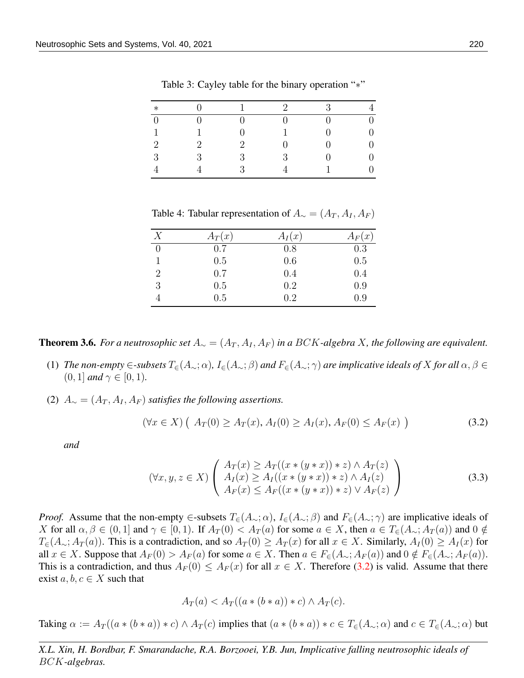| $\ast$         |   |                             | $\mathcal{D}$ | 3            |                  |
|----------------|---|-----------------------------|---------------|--------------|------------------|
| $\overline{0}$ |   |                             | 0             | $\mathbf{0}$ | $\boldsymbol{0}$ |
| $\mathbf{1}$   |   |                             |               | $\mathbf{0}$ | $\boldsymbol{0}$ |
| $\overline{2}$ | 2 | $\mathcal{D}_{\mathcal{L}}$ | ∩             |              | $\boldsymbol{0}$ |
| 3              | 3 | 3                           | 3             |              | $\boldsymbol{0}$ |
|                |   | $\mathcal{R}$               |               |              | $\boldsymbol{0}$ |

<span id="page-6-0"></span>Table 3: Cayley table for the binary operation "∗"

<span id="page-6-1"></span>Table 4: Tabular representation of  $A_{\sim} = (A_T, A_I, A_F)$ 

| X              | $A_T(x)$ | $A_I(x)$ | $A_F(x)$ |
|----------------|----------|----------|----------|
| $\theta$       | 0.7      | 0.8      | 0.3      |
|                | 0.5      | 0.6      | 0.5      |
| $\overline{2}$ | 0.7      | 0.4      | 0.4      |
| 3              | 0.5      | 0.2      | 0.9      |
|                | 0.5      | 0.2      | 0.9      |

**Theorem 3.6.** *For a neutrosophic set*  $A_∼ = (A_T, A_I, A_F)$  *in a BCK-algebra X, the following are equivalent.* 

- (1) *The non-empty*  $\in$ *-subsets*  $T_{\infty}(A_{\sim}; \alpha)$ *,*  $I_{\infty}(A_{\sim}; \beta)$  *and*  $F_{\infty}(A_{\sim}; \gamma)$  *are implicative ideals of* X *for all*  $\alpha, \beta \in$  $(0, 1]$  *and*  $\gamma \in [0, 1)$ *.*
- (2)  $A_{\sim} = (A_T, A_I, A_F)$  *satisfies the following assertions.*

$$
(\forall x \in X) ( A_T(0) \ge A_T(x), A_I(0) \ge A_I(x), A_F(0) \le A_F(x) ).
$$
 (3.2)

*and*

<span id="page-6-2"></span>
$$
(\forall x, y, z \in X) \left( \begin{array}{c} A_T(x) \ge A_T((x * (y * x)) * z) \land A_T(z) \\ A_I(x) \ge A_I((x * (y * x)) * z) \land A_I(z) \\ A_F(x) \le A_F((x * (y * x)) * z) \lor A_F(z) \end{array} \right)
$$
(3.3)

*Proof.* Assume that the non-empty ∈-subsets  $T_{\epsilon}(A_{\sim}; \alpha)$ ,  $I_{\epsilon}(A_{\sim}; \beta)$  and  $F_{\epsilon}(A_{\sim}; \gamma)$  are implicative ideals of X for all  $\alpha, \beta \in (0,1]$  and  $\gamma \in [0,1)$ . If  $A_T(0) < A_T(a)$  for some  $a \in X$ , then  $a \in T_{\epsilon}(A_{\sim}; A_T(a))$  and  $0 \notin$  $T_{\epsilon}(A_{\sim}; A_T(a))$ . This is a contradiction, and so  $A_T(0) \geq A_T(x)$  for all  $x \in X$ . Similarly,  $A_T(0) \geq A_T(x)$  for all  $x \in X$ . Suppose that  $A_F(0) > A_F(a)$  for some  $a \in X$ . Then  $a \in F_{\epsilon}(A_{\sim}; A_F(a))$  and  $0 \notin F_{\epsilon}(A_{\sim}; A_F(a))$ . This is a contradiction, and thus  $A_F(0) \leq A_F(x)$  for all  $x \in X$ . Therefore [\(3.2\)](#page-6-2) is valid. Assume that there exist  $a, b, c \in X$  such that

<span id="page-6-3"></span>
$$
A_T(a) < A_T((a \ast (b \ast a)) \ast c) \land A_T(c).
$$

Taking  $\alpha := A_T((a*(b*a))*c) \wedge A_T(c)$  implies that  $(a*(b*a))*c \in T_{\in}(A_{\sim}; \alpha)$  and  $c \in T_{\in}(A_{\sim}; \alpha)$  but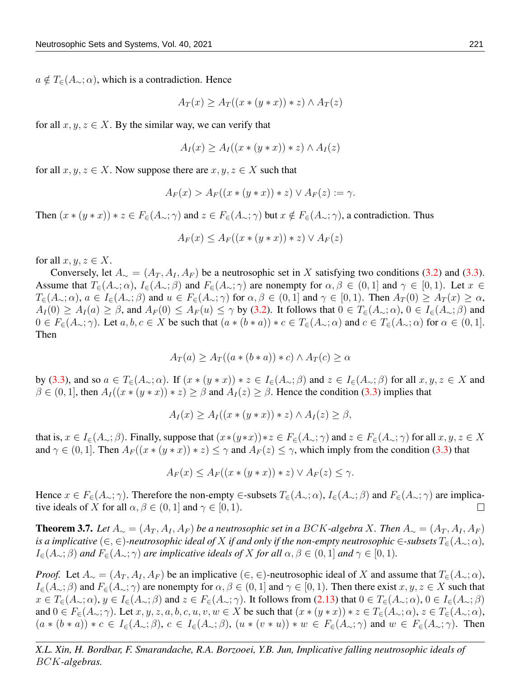$a \notin T_{\in}(A_{\sim}; \alpha)$ , which is a contradiction. Hence

$$
A_T(x) \ge A_T((x * (y * x)) * z) \wedge A_T(z)
$$

for all  $x, y, z \in X$ . By the similar way, we can verify that

$$
A_I(x) \ge A_I((x * (y * x)) * z) \wedge A_I(z)
$$

for all  $x, y, z \in X$ . Now suppose there are  $x, y, z \in X$  such that

$$
A_F(x) > A_F((x * (y * x)) * z) \vee A_F(z) := \gamma.
$$

Then  $(x * (y * x)) * z \in F_{\epsilon}(A_{\sim}; \gamma)$  and  $z \in F_{\epsilon}(A_{\sim}; \gamma)$  but  $x \notin F_{\epsilon}(A_{\sim}; \gamma)$ , a contradiction. Thus

$$
A_F(x) \le A_F((x * (y * x)) * z) \vee A_F(z)
$$

for all  $x, y, z \in X$ .

Conversely, let  $A_\sim = (A_T, A_I, A_F)$  be a neutrosophic set in X satisfying two conditions [\(3.2\)](#page-6-2) and [\(3.3\)](#page-6-3). Assume that  $T_{\epsilon}(A_{\sim};\alpha)$ ,  $I_{\epsilon}(A_{\sim};\beta)$  and  $F_{\epsilon}(A_{\sim};\gamma)$  are nonempty for  $\alpha, \beta \in (0,1]$  and  $\gamma \in [0,1)$ . Let  $x \in$  $T_{\epsilon}(A_{\sim};\alpha)$ ,  $a \in I_{\epsilon}(A_{\sim};\beta)$  and  $u \in F_{\epsilon}(A_{\sim};\gamma)$  for  $\alpha, \beta \in (0,1]$  and  $\gamma \in [0,1)$ . Then  $A_T(0) \geq A_T(x) \geq \alpha$ ,  $A_I(0) \ge A_I(a) \ge \beta$ , and  $A_F(0) \le A_F(u) \le \gamma$  by [\(3.2\)](#page-6-2). It follows that  $0 \in T_{\epsilon}(A_{\sim}; \alpha)$ ,  $0 \in I_{\epsilon}(A_{\sim}; \beta)$  and  $0 \in F_{\epsilon}(A_{\sim}; \gamma)$ . Let  $a, b, c \in X$  be such that  $(a * (b * a)) * c \in T_{\epsilon}(A_{\sim}; \alpha)$  and  $c \in T_{\epsilon}(A_{\sim}; \alpha)$  for  $\alpha \in (0, 1]$ . Then

$$
A_T(a) \ge A_T((a*(b*a))*c) \land A_T(c) \ge \alpha
$$

by [\(3.3\)](#page-6-3), and so  $a \in T_{\epsilon}(A_{\sim}; \alpha)$ . If  $(x * (y * x)) * z \in I_{\epsilon}(A_{\sim}; \beta)$  and  $z \in I_{\epsilon}(A_{\sim}; \beta)$  for all  $x, y, z \in X$  and  $\beta \in (0,1]$ , then  $A_I((x * (y * x)) * z) \ge \beta$  and  $A_I(z) \ge \beta$ . Hence the condition [\(3.3\)](#page-6-3) implies that

$$
A_I(x) \ge A_I((x * (y * x)) * z) \wedge A_I(z) \ge \beta,
$$

that is,  $x \in I_{\epsilon}(A_{\sim}; \beta)$ . Finally, suppose that  $(x*(y*x))*z \in F_{\epsilon}(A_{\sim}; \gamma)$  and  $z \in F_{\epsilon}(A_{\sim}; \gamma)$  for all  $x, y, z \in X$ and  $\gamma \in (0, 1]$ . Then  $A_F((x * (y * x)) * z) \leq \gamma$  and  $A_F(z) \leq \gamma$ , which imply from the condition [\(3.3\)](#page-6-3) that

$$
A_F(x) \le A_F((x * (y * x)) * z) \vee A_F(z) \le \gamma.
$$

Hence  $x \in F_{\epsilon}(A_{\sim}; \gamma)$ . Therefore the non-empty  $\epsilon$ -subsets  $T_{\epsilon}(A_{\sim}; \alpha)$ ,  $I_{\epsilon}(A_{\sim}; \beta)$  and  $F_{\epsilon}(A_{\sim}; \gamma)$  are implicative ideals of X for all  $\alpha, \beta \in (0, 1]$  and  $\gamma \in [0, 1)$ .  $\Box$ 

<span id="page-7-0"></span>**Theorem 3.7.** *Let*  $A_∼ = (A_T, A_I, A_F)$  *be a neutrosophic set in a BCK-algebra X. Then*  $A_∼ = (A_T, A_I, A_F)$ *is a implicative* (∈, ∈)-neutrosophic ideal of X if and only if the non-empty neutrosophic ∈-subsets  $T_{\epsilon}(A_{\sim}; \alpha)$ ,  $I_{\epsilon}(A_{\sim};\beta)$  *and*  $F_{\epsilon}(A_{\sim};\gamma)$  *are implicative ideals of* X *for all*  $\alpha, \beta \in (0,1]$  *and*  $\gamma \in [0,1)$ *.* 

*Proof.* Let  $A_{\sim} = (A_T, A_I, A_F)$  be an implicative  $(\in, \in)$ -neutrosophic ideal of X and assume that  $T_{\in}(A_{\sim}; \alpha)$ ,  $I_{\in}(A_{\sim};\beta)$  and  $F_{\in}(A_{\sim};\gamma)$  are nonempty for  $\alpha,\beta\in(0,1]$  and  $\gamma\in[0,1)$ . Then there exist  $x, y, z \in X$  such that  $x \in T_{\epsilon}(A_{\sim}; \alpha)$ ,  $y \in I_{\epsilon}(A_{\sim}; \beta)$  and  $z \in F_{\epsilon}(A_{\sim}; \gamma)$ . It follows from [\(2.13\)](#page-3-0) that  $0 \in T_{\epsilon}(A_{\sim}; \alpha)$ ,  $0 \in I_{\epsilon}(A_{\sim}; \beta)$ and  $0 \in F_{\epsilon}(A_{\sim}; \gamma)$ . Let  $x, y, z, a, b, c, u, v, w \in X$  be such that  $(x * (y * x)) * z \in T_{\epsilon}(A_{\sim}; \alpha), z \in T_{\epsilon}(A_{\sim}; \alpha)$ ,  $(a * (b * a)) * c \in I_{\epsilon}(A_{\sim}; \beta), c \in I_{\epsilon}(A_{\sim}; \beta), (u * (v * u)) * w \in F_{\epsilon}(A_{\sim}; \gamma)$  and  $w \in F_{\epsilon}(A_{\sim}; \gamma)$ . Then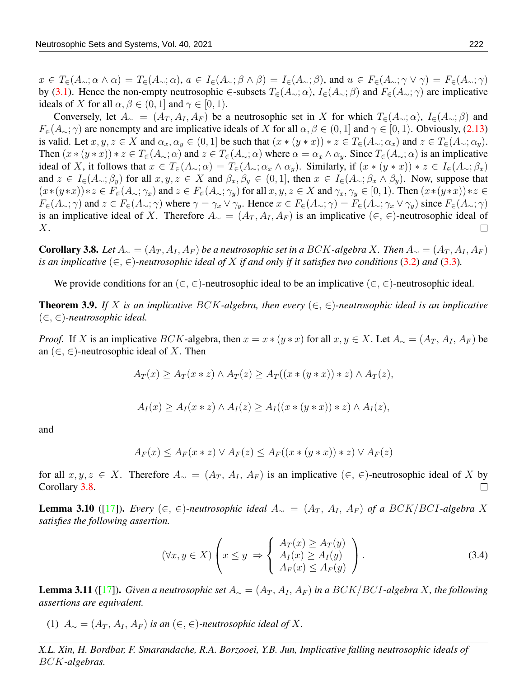$x \in T_{\epsilon}(A_{\sim}; \alpha \wedge \alpha) = T_{\epsilon}(A_{\sim}; \alpha), a \in I_{\epsilon}(A_{\sim}; \beta \wedge \beta) = I_{\epsilon}(A_{\sim}; \beta),$  and  $u \in F_{\epsilon}(A_{\sim}; \gamma \vee \gamma) = F_{\epsilon}(A_{\sim}; \gamma)$ by [\(3.1\)](#page-4-0). Hence the non-empty neutrosophic ∈-subsets  $T_{\epsilon}(A_{\sim};\alpha)$ ,  $I_{\epsilon}(A_{\sim};\beta)$  and  $F_{\epsilon}(A_{\sim};\gamma)$  are implicative ideals of X for all  $\alpha, \beta \in (0, 1]$  and  $\gamma \in [0, 1]$ .

Conversely, let  $A_\sim = (A_T, A_I, A_F)$  be a neutrosophic set in X for which  $T_\in(A_\sim; \alpha)$ ,  $I_\in(A_\sim; \beta)$  and  $F_{\epsilon}(A_{\sim};\gamma)$  are nonempty and are implicative ideals of X for all  $\alpha, \beta \in (0,1]$  and  $\gamma \in [0,1)$ . Obviously, [\(2.13\)](#page-3-0) is valid. Let  $x, y, z \in X$  and  $\alpha_x, \alpha_y \in (0, 1]$  be such that  $(x * (y * x)) * z \in T_{\epsilon}(A_{\sim}; \alpha_x)$  and  $z \in T_{\epsilon}(A_{\sim}; \alpha_y)$ . Then  $(x*(y*x))*z \in T_{\epsilon}(A_{\sim};\alpha)$  and  $z \in T_{\epsilon}(A_{\sim};\alpha)$  where  $\alpha = \alpha_x \wedge \alpha_y$ . Since  $T_{\epsilon}(A_{\sim};\alpha)$  is an implicative ideal of X, it follows that  $x \in T_{\epsilon}(A_{\sim}; \alpha) = T_{\epsilon}(A_{\sim}; \alpha_x \wedge \alpha_y)$ . Similarly, if  $(x * (y * x)) * z \in I_{\epsilon}(A_{\sim}; \beta_x)$ and  $z \in I_{\infty}(A_{\sim}; \beta_y)$  for all  $x, y, z \in X$  and  $\beta_x, \beta_y \in (0, 1]$ , then  $x \in I_{\infty}(A_{\sim}; \beta_x \wedge \beta_y)$ . Now, suppose that  $(x*(y*x))*z \in F_{\in}(A_{\sim}; \gamma_x)$  and  $z \in F_{\in}(A_{\sim}; \gamma_y)$  for all  $x, y, z \in X$  and  $\gamma_x, \gamma_y \in [0, 1)$ . Then  $(x*(y*x))*z \in$  $F_{\epsilon}(A_{\sim};\gamma)$  and  $z \in F_{\epsilon}(A_{\sim};\gamma)$  where  $\gamma = \gamma_x \vee \gamma_y$ . Hence  $x \in F_{\epsilon}(A_{\sim};\gamma) = F_{\epsilon}(A_{\sim};\gamma_x \vee \gamma_y)$  since  $F_{\epsilon}(A_{\sim};\gamma)$ is an implicative ideal of X. Therefore  $A_ ∼ = (A_T, A_I, A_F)$  is an implicative  $(∈, ∈)$ -neutrosophic ideal of X.  $\Box$ 

<span id="page-8-0"></span>**Corollary 3.8.** *Let*  $A_{\sim} = (A_T, A_I, A_F)$  *be a neutrosophic set in a BCK-algebra X. Then*  $A_{\sim} = (A_T, A_I, A_F)$ *is an implicative*  $(\in, \in)$ *-neutrosophic ideal of* X *if and only if it satisfies two conditions* [\(3.2\)](#page-6-2) *and* [\(3.3\)](#page-6-3)*.* 

We provide conditions for an  $(\in, \in)$ -neutrosophic ideal to be an implicative  $(\in, \in)$ -neutrosophic ideal.

**Theorem 3.9.** If X is an implicative BCK-algebra, then every  $(\in, \in)$ -neutrosophic ideal is an implicative (∈, ∈)*-neutrosophic ideal.*

*Proof.* If X is an implicative BCK-algebra, then  $x = x * (y * x)$  for all  $x, y \in X$ . Let  $A_{\sim} = (A_T, A_I, A_F)$  be an  $(\in, \in)$ -neutrosophic ideal of X. Then

 $A_T(x) > A_T(x * z) \wedge A_T(z) > A_T((x * (y * x)) * z) \wedge A_T(z),$ 

$$
A_I(x) \ge A_I(x \ast z) \wedge A_I(z) \ge A_I((x \ast (y \ast x)) \ast z) \wedge A_I(z),
$$

and

$$
A_F(x) \le A_F(x \ast z) \vee A_F(z) \le A_F((x \ast (y \ast x)) \ast z) \vee A_F(z)
$$

for all  $x, y, z \in X$ . Therefore  $A_{\sim} = (A_T, A_I, A_F)$  is an implicative  $(\in, \in)$ -neutrosophic ideal of X by Corollary [3.8.](#page-8-0)  $\Box$ 

<span id="page-8-1"></span>**Lemma 3.10** ([\[17\]](#page-20-4)). *Every* (∈, ∈)-neutrosophic ideal  $A_∼ = (A_T, A_I, A_F)$  of a BCK/BCI-algebra X *satisfies the following assertion.*

$$
(\forall x, y \in X) \left( x \le y \implies \begin{cases} A_T(x) \ge A_T(y) \\ A_I(x) \ge A_I(y) \\ A_F(x) \le A_F(y) \end{cases} \right). \tag{3.4}
$$

**Lemma 3.11** ([\[17\]](#page-20-4)). *Given a neutrosophic set*  $A_ ∼ = (A_T, A_I, A_F)$  *in a BCK | BCI*-algebra *X, the following assertions are equivalent.*

(1)  $A_{\sim} = (A_T, A_I, A_F)$  *is an* (∈, ∈)-*neutrosophic ideal of* X.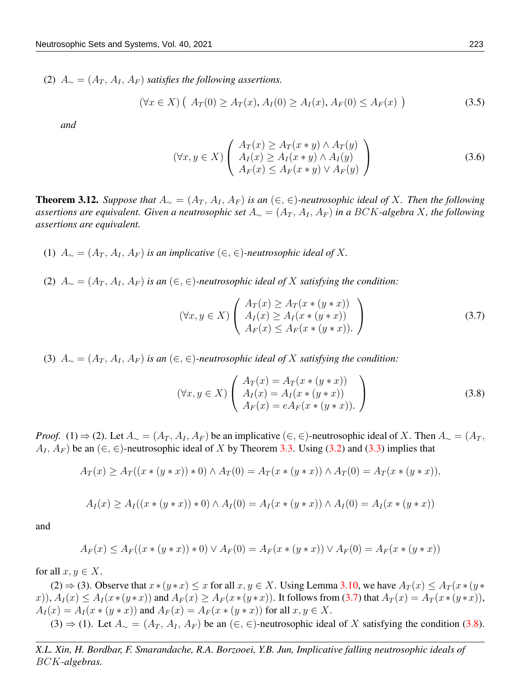(2)  $A_{\sim} = (A_T, A_I, A_F)$  *satisfies the following assertions.* 

$$
(\forall x \in X) (A_T(0) \ge A_T(x), A_I(0) \ge A_I(x), A_F(0) \le A_F(x))
$$
\n(3.5)

*and*

<span id="page-9-2"></span>
$$
(\forall x, y \in X) \left( \begin{array}{c} A_T(x) \ge A_T(x * y) \land A_T(y) \\ A_I(x) \ge A_I(x * y) \land A_I(y) \\ A_F(x) \le A_F(x * y) \lor A_F(y) \end{array} \right)
$$
(3.6)

**Theorem 3.12.** *Suppose that*  $A_∼ = (A_T, A_I, A_F)$  *is an*  $(∈, ∈)$ *-neutrosophic ideal of X. Then the following* assertions are equivalent. Given a neutrosophic set  $A_{\sim} = (A_T, A_I, A_F)$  in a BCK-algebra X, the following *assertions are equivalent.*

- (1)  $A<sub>∼</sub> = (A<sub>T</sub>, A<sub>I</sub>, A<sub>F</sub>)$  *is an implicative* (∈, ∈)-*neutrosophic ideal of* X.
- (2)  $A<sub>∼</sub> = (A<sub>T</sub>, A<sub>I</sub>, A<sub>F</sub>)$  *is an* (∈, ∈)-*neutrosophic ideal of* X *satisfying the condition:*

<span id="page-9-0"></span>
$$
(\forall x, y \in X) \left( \begin{array}{c} A_T(x) \ge A_T(x * (y * x)) \\ A_I(x) \ge A_I(x * (y * x)) \\ A_F(x) \le A_F(x * (y * x)). \end{array} \right) \tag{3.7}
$$

(3)  $A_{\sim} = (A_T, A_I, A_F)$  *is an* (∈, ∈)-neutrosophic ideal of X satisfying the condition:

<span id="page-9-1"></span>
$$
(\forall x, y \in X) \left( \begin{array}{c} A_T(x) = A_T(x * (y * x)) \\ A_I(x) = A_I(x * (y * x)) \\ A_F(x) = eA_F(x * (y * x)). \end{array} \right)
$$
(3.8)

*Proof.* (1)  $\Rightarrow$  (2). Let  $A_{\sim} = (A_T, A_I, A_F)$  be an implicative (∈, ∈)-neutrosophic ideal of X. Then  $A_{\sim} = (A_T, A_F)$  $A_I, A_F$ ) be an  $(\in, \in)$ -neutrosophic ideal of X by Theorem [3.3.](#page-5-2) Using [\(3.2\)](#page-6-2) and [\(3.3\)](#page-6-3) implies that

$$
A_T(x) \ge A_T((x * (y * x)) * 0) \wedge A_T(0) = A_T(x * (y * x)) \wedge A_T(0) = A_T(x * (y * x)),
$$

$$
A_I(x) \ge A_I((x * (y * x)) * 0) \wedge A_I(0) = A_I(x * (y * x)) \wedge A_I(0) = A_I(x * (y * x))
$$

and

$$
A_F(x) \le A_F((x * (y * x)) * 0) \vee A_F(0) = A_F(x * (y * x)) \vee A_F(0) = A_F(x * (y * x))
$$

for all  $x, y \in X$ .

(2)  $\Rightarrow$  (3). Observe that  $x*(y*x) \le x$  for all  $x, y \in X$ . Using Lemma [3.10,](#page-8-1) we have  $A_T(x) \le A_T(x*(y*x))$ x)),  $A_I(x) \leq A_I(x*(y*x))$  and  $A_F(x) \geq A_F(x*(y*x))$ . It follows from [\(3.7\)](#page-9-0) that  $A_T(x) = A_T(x*(y*x))$ ,  $A_I(x) = A_I(x * (y * x))$  and  $A_F(x) = A_F(x * (y * x))$  for all  $x, y \in X$ .  $(3)$  ⇒ (1). Let  $A_∞ = (A_T, A_I, A_F)$  be an  $(∈, ∈)$ -neutrosophic ideal of X satisfying the condition [\(3.8\)](#page-9-1).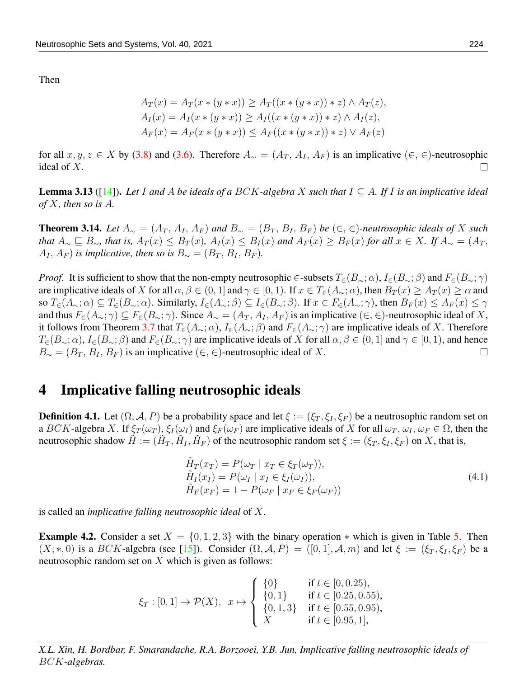Then

$$
A_T(x) = A_T(x * (y * x)) \ge A_T((x * (y * x)) * z) \land A_T(z),
$$
  
\n
$$
A_I(x) = A_I(x * (y * x)) \ge A_I((x * (y * x)) * z) \land A_I(z),
$$
  
\n
$$
A_F(x) = A_F(x * (y * x)) \le A_F((x * (y * x)) * z) \lor A_F(z)
$$

for all  $x, y, z \in X$  by [\(3.8\)](#page-9-1) and [\(3.6\)](#page-9-2). Therefore  $A_{\sim} = (A_T, A_I, A_F)$  is an implicative (∈, ∈)-neutrosophic ideal of X.  $\Box$ 

Lemma 3.13 ([\[14\]](#page-19-14)). *Let* I *and* A *be ideals of a* BCK*-algebra* X *such that* I ⊆ A*. If* I *is an implicative ideal of* X*, then so is* A*.*

**Theorem 3.14.** *Let*  $A_∼ = (A_T, A_I, A_F)$  *and*  $B_∼ = (B_T, B_I, B_F)$  *be*  $(∈, ∈)$ *-neutrosophic ideals of* X *such that*  $A_\sim ⊆ B_\sim$ *, that is,*  $A_T(x) \leq B_T(x)$ *,*  $A_I(x) \leq B_I(x)$  *and*  $A_F(x) \geq B_F(x)$  *for all*  $x \in X$ *. If*  $A_\sim = (A_T, A_T(x))$  $A_I, A_F$ ) *is implicative, then so is*  $B_\sim = (B_T, B_I, B_F)$ *.* 

*Proof.* It is sufficient to show that the non-empty neutrosophic ∈-subsets  $T_{\epsilon}(B_{\sim};\alpha)$ ,  $I_{\epsilon}(B_{\sim};\beta)$  and  $F_{\epsilon}(B_{\sim};\gamma)$ are implicative ideals of X for all  $\alpha, \beta \in (0,1]$  and  $\gamma \in [0,1)$ . If  $x \in T_{\epsilon}(A_{\sim}; \alpha)$ , then  $B_T(x) \geq A_T(x) \geq \alpha$  and so  $T_{\epsilon}(A_{\sim};\alpha) \subseteq T_{\epsilon}(B_{\sim};\alpha)$ . Similarly,  $I_{\epsilon}(A_{\sim};\beta) \subseteq I_{\epsilon}(B_{\sim};\beta)$ . If  $x \in F_{\epsilon}(A_{\sim};\gamma)$ , then  $B_F(x) \leq A_F(x) \leq \gamma$ and thus  $F_{\epsilon}(A_{\sim};\gamma) \subseteq F_{\epsilon}(B_{\sim};\gamma)$ . Since  $A_{\sim} = (A_T, A_T, A_F)$  is an implicative  $(\epsilon, \epsilon)$ -neutrosophic ideal of X, it follows from Theorem [3.7](#page-7-0) that  $T_{\epsilon}(A_{\sim};\alpha)$ ,  $I_{\epsilon}(A_{\sim};\beta)$  and  $F_{\epsilon}(A_{\sim};\gamma)$  are implicative ideals of X. Therefore  $T_{\epsilon}(B_{\sim};\alpha)$ ,  $I_{\epsilon}(B_{\sim};\beta)$  and  $F_{\epsilon}(B_{\sim};\gamma)$  are implicative ideals of X for all  $\alpha, \beta \in (0,1]$  and  $\gamma \in [0,1)$ , and hence  $B_{\sim} = (B_T, B_I, B_F)$  is an implicative (∈, ∈)-neutrosophic ideal of X.  $\Box$ 

#### 4 Implicative falling neutrosophic ideals

**Definition 4.1.** Let  $(\Omega, \mathcal{A}, P)$  be a probability space and let  $\xi := (\xi_T, \xi_I, \xi_F)$  be a neutrosophic random set on a BCK-algebra X. If  $\xi_T(\omega_T)$ ,  $\xi_I(\omega_I)$  and  $\xi_F(\omega_F)$  are implicative ideals of X for all  $\omega_T$ ,  $\omega_I$ ,  $\omega_F \in \Omega$ , then the neutrosophic shadow  $\tilde{H} := (\tilde{H}_T, \tilde{H}_I, \tilde{H}_F)$  of the neutrosophic random set  $\xi := (\xi_T, \xi_I, \xi_F)$  on X, that is,

$$
\tilde{H}_T(x_T) = P(\omega_T \mid x_T \in \xi_T(\omega_T)), \n\tilde{H}_I(x_I) = P(\omega_I \mid x_I \in \xi_I(\omega_I)), \n\tilde{H}_F(x_F) = 1 - P(\omega_F \mid x_F \in \xi_F(\omega_F))
$$
\n(4.1)

is called an *implicative falling neutrosophic ideal* of X.

**Example 4.2.** Consider a set  $X = \{0, 1, 2, 3\}$  with the binary operation  $*$  which is given in Table [5.](#page-11-0) Then  $(X;*,0)$  is a BCK-algebra (see [\[15\]](#page-19-12)). Consider  $(\Omega, \mathcal{A}, P) = ([0,1], \mathcal{A}, m)$  and let  $\xi := (\xi_T, \xi_I, \xi_F)$  be a neutrosophic random set on  $X$  which is given as follows:

$$
\xi_T : [0,1] \to \mathcal{P}(X), \quad x \mapsto \begin{cases} \{0\} & \text{if } t \in [0,0.25), \\ \{0,1\} & \text{if } t \in [0.25,0.55), \\ \{0,1,3\} & \text{if } t \in [0.55,0.95), \\ X & \text{if } t \in [0.95,1], \end{cases}
$$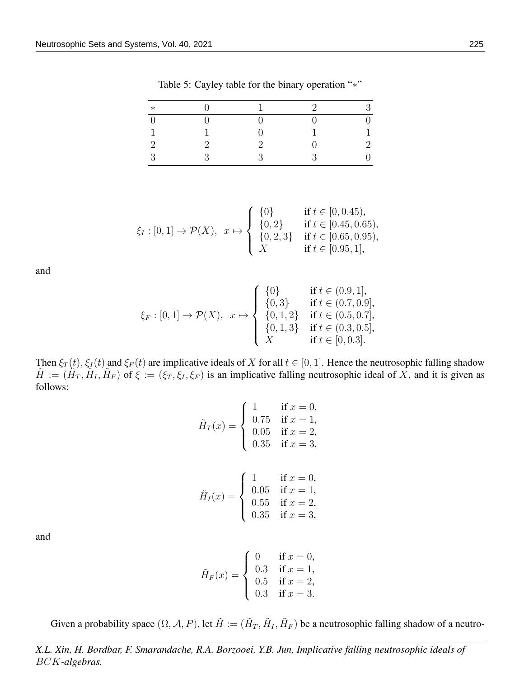| $\ast$ |             |   | $\Omega$ | Q  |
|--------|-------------|---|----------|----|
|        |             |   |          |    |
| и      | -1          |   |          | -1 |
| ാ      | $\Omega$    |   |          | າ  |
| ാ      | $\mathbf 2$ | 2 |          |    |

<span id="page-11-0"></span>Table 5: Cayley table for the binary operation "∗"

$$
\xi_I : [0,1] \to \mathcal{P}(X), \quad x \mapsto \begin{cases} \{0\} & \text{if } t \in [0,0.45), \\ \{0,2\} & \text{if } t \in [0.45,0.65), \\ \{0,2,3\} & \text{if } t \in [0.65,0.95), \\ X & \text{if } t \in [0.95,1], \end{cases}
$$

and

$$
\xi_F : [0,1] \to \mathcal{P}(X), \quad x \mapsto \begin{cases} \{0\} & \text{if } t \in (0.9,1], \\ \{0,3\} & \text{if } t \in (0.7,0.9], \\ \{0,1,2\} & \text{if } t \in (0.5,0.7], \\ \{0,1,3\} & \text{if } t \in (0.3,0.5], \\ X & \text{if } t \in [0,0.3]. \end{cases}
$$

Then  $\xi_T(t)$ ,  $\xi_I(t)$  and  $\xi_F(t)$  are implicative ideals of X for all  $t \in [0, 1]$ . Hence the neutrosophic falling shadow  $\tilde{H} := (\tilde{H}_T, \tilde{H}_I, \tilde{H}_F)$  of  $\xi := (\xi_T, \xi_I, \xi_F)$  is an implicative falling neutrosophic ideal of X, and it is given as follows:

$$
\tilde{H}_T(x) = \begin{cases}\n1 & \text{if } x = 0, \\
0.75 & \text{if } x = 1, \\
0.05 & \text{if } x = 2, \\
0.35 & \text{if } x = 3,\n\end{cases}
$$

$$
\tilde{H}_I(x) = \begin{cases}\n1 & \text{if } x = 0, \\
0.05 & \text{if } x = 1, \\
0.55 & \text{if } x = 2, \\
0.35 & \text{if } x = 3,\n\end{cases}
$$

and

$$
\tilde{H}_F(x) = \begin{cases}\n0 & \text{if } x = 0, \\
0.3 & \text{if } x = 1, \\
0.5 & \text{if } x = 2, \\
0.3 & \text{if } x = 3.\n\end{cases}
$$

Given a probability space  $(\Omega, \mathcal{A}, P)$ , let  $\tilde{H} := (\tilde{H}_T, \tilde{H}_I, \tilde{H}_F)$  be a neutrosophic falling shadow of a neutro-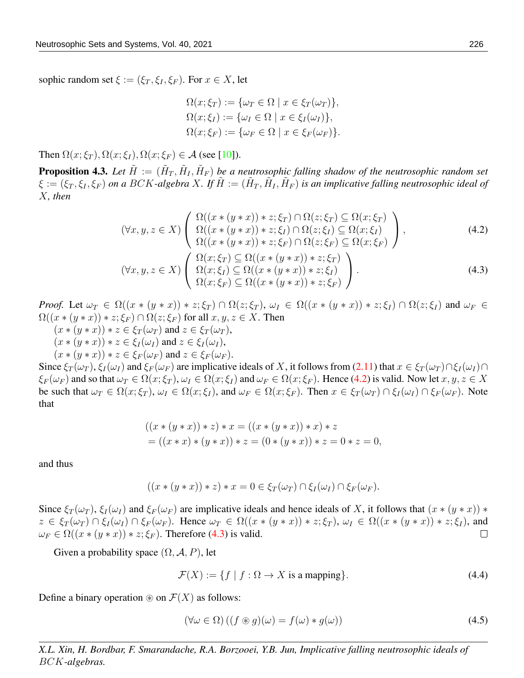sophic random set  $\xi := (\xi_T, \xi_I, \xi_F)$ . For  $x \in X$ , let

<span id="page-12-1"></span><span id="page-12-0"></span>
$$
\Omega(x; \xi_T) := \{ \omega_T \in \Omega \mid x \in \xi_T(\omega_T) \},
$$
  
\n
$$
\Omega(x; \xi_I) := \{ \omega_I \in \Omega \mid x \in \xi_I(\omega_I) \},
$$
  
\n
$$
\Omega(x; \xi_F) := \{ \omega_F \in \Omega \mid x \in \xi_F(\omega_F) \}.
$$

Then  $\Omega(x;\xi_T)$ ,  $\Omega(x;\xi_I)$ ,  $\Omega(x;\xi_F) \in \mathcal{A}$  (see [\[10\]](#page-19-4)).

**Proposition 4.3.** Let  $\tilde{H} := (\tilde{H}_T, \tilde{H}_I, \tilde{H}_F)$  be a neutrosophic falling shadow of the neutrosophic random set  $\xi := (\xi_T, \xi_I, \xi_F)$  on a BCK-algebra X. If  $\tilde{H} := (\tilde{H}_T, \tilde{H}_I, \tilde{H}_F)$  is an implicative falling neutrosophic ideal of X*, then*

$$
(\forall x, y, z \in X) \left( \begin{array}{c} \Omega((x * (y * x)) * z; \xi_T) \cap \Omega(z; \xi_T) \subseteq \Omega(x; \xi_T) \\ \Omega((x * (y * x)) * z; \xi_I) \cap \Omega(z; \xi_I) \subseteq \Omega(x; \xi_I) \\ \Omega((x * (y * x)) * z; \xi_F) \cap \Omega(z; \xi_F) \subseteq \Omega(x; \xi_F) \\ \Omega((x * (y * x)) * z; \xi_T) \cap \Omega(z; \xi_F) \subseteq \Omega(x; \xi_F) \end{array} \right), \tag{4.2}
$$

$$
(\forall x, y, z \in X) \left( \begin{array}{c} \Omega(x; \xi_T) \subseteq \Omega((x * (y * x)) * z; \xi_T) \\ \Omega(x; \xi_T) \subseteq \Omega((x * (y * x)) * z; \xi_F) \\ \Omega(x; \xi_F) \subseteq \Omega((x * (y * x)) * z; \xi_F) \end{array} \right).
$$

*Proof.* Let  $\omega_T \in \Omega((x * (y * x)) * z; \xi_T) \cap \Omega(z; \xi_T)$ ,  $\omega_I \in \Omega((x * (y * x)) * z; \xi_I) \cap \Omega(z; \xi_I)$  and  $\omega_F \in \Omega((x * (y * x)) * z; \xi_I) \cap \Omega(z; \xi_I)$  $\Omega((x * (y * x)) * z; \xi_F) \cap \Omega(z; \xi_F)$  for all  $x, y, z \in X$ . Then  $(x * (y * x)) * z \in \xi_T(\omega_T)$  and  $z \in \xi_T(\omega_T)$ ,  $(x * (y * x)) * z \in \xi_I(\omega_I)$  and  $z \in \xi_I(\omega_I)$ ,  $(x * (y * x)) * z \in \xi_F(\omega_F)$  and  $z \in \xi_F(\omega_F)$ .

Since  $\xi_T(\omega_T)$ ,  $\xi_I(\omega_I)$  and  $\xi_F(\omega_F)$  are implicative ideals of X, it follows from [\(2.11\)](#page-2-1) that  $x \in \xi_T(\omega_T) \cap \xi_I(\omega_I) \cap$  $\xi_F(\omega_F)$  and so that  $\omega_T \in \Omega(x;\xi_T)$ ,  $\omega_I \in \Omega(x;\xi_I)$  and  $\omega_F \in \Omega(x;\xi_F)$ . Hence [\(4.2\)](#page-12-0) is valid. Now let  $x, y, z \in X$ be such that  $\omega_T \in \Omega(x;\xi_T)$ ,  $\omega_I \in \Omega(x;\xi_I)$ , and  $\omega_F \in \Omega(x;\xi_F)$ . Then  $x \in \xi_T(\omega_T) \cap \xi_I(\omega_I) \cap \xi_F(\omega_F)$ . Note that

$$
((x * (y * x)) * z) * x = ((x * (y * x)) * x) * z
$$
  
= ((x \* x) \* (y \* x)) \* z = (0 \* (y \* x)) \* z = 0 \* z = 0,

and thus

$$
((x*(y*x))*z)*x=0\in \xi_T(\omega_T)\cap \xi_I(\omega_I)\cap \xi_F(\omega_F).
$$

Since  $\xi_T(\omega_T)$ ,  $\xi_I(\omega_I)$  and  $\xi_F(\omega_F)$  are implicative ideals and hence ideals of X, it follows that  $(x * (y * x)) *$  $z \in \xi_T(\omega_T) \cap \xi_I(\omega_I) \cap \xi_F(\omega_F)$ . Hence  $\omega_T \in \Omega((x \ast (y \ast x)) \ast z; \xi_T)$ ,  $\omega_I \in \Omega((x \ast (y \ast x)) \ast z; \xi_I)$ , and  $\omega_F \in \Omega((x * (y * x)) * z; \xi_F)$ . Therefore [\(4.3\)](#page-12-1) is valid.  $\Box$ 

Given a probability space  $(\Omega, \mathcal{A}, P)$ , let

$$
\mathcal{F}(X) := \{ f \mid f : \Omega \to X \text{ is a mapping} \}. \tag{4.4}
$$

Define a binary operation  $\mathcal{F}(X)$  as follows:

$$
(\forall \omega \in \Omega) \left( (f \circledast g)(\omega) = f(\omega) * g(\omega) \right) \tag{4.5}
$$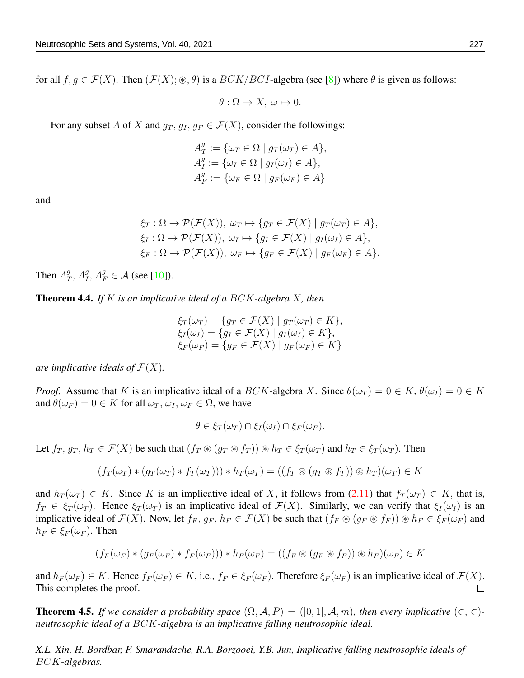for all  $f, g \in \mathcal{F}(X)$ . Then  $(\mathcal{F}(X); \mathcal{F}, \theta)$  is a  $BCK/BCI$ -algebra (see [\[8\]](#page-19-15)) where  $\theta$  is given as follows:

$$
\theta: \Omega \to X, \ \omega \mapsto 0.
$$

For any subset A of X and  $g_T, g_I, g_F \in \mathcal{F}(X)$ , consider the followings:

$$
A_T^g := \{ \omega_T \in \Omega \mid g_T(\omega_T) \in A \},
$$
  
\n
$$
A_I^g := \{ \omega_I \in \Omega \mid g_I(\omega_I) \in A \},
$$
  
\n
$$
A_F^g := \{ \omega_F \in \Omega \mid g_F(\omega_F) \in A \}
$$

and

$$
\xi_T : \Omega \to \mathcal{P}(\mathcal{F}(X)), \ \omega_T \mapsto \{ g_T \in \mathcal{F}(X) \mid g_T(\omega_T) \in A \},
$$
  
\n
$$
\xi_I : \Omega \to \mathcal{P}(\mathcal{F}(X)), \ \omega_I \mapsto \{ g_I \in \mathcal{F}(X) \mid g_I(\omega_I) \in A \},
$$
  
\n
$$
\xi_F : \Omega \to \mathcal{P}(\mathcal{F}(X)), \ \omega_F \mapsto \{ g_F \in \mathcal{F}(X) \mid g_F(\omega_F) \in A \}.
$$

Then  $A_7^g$  $g_T^g$ ,  $A_I^g$ ,  $A_F^g \in \mathcal{A}$  (see [\[10\]](#page-19-4)).

Theorem 4.4. *If* K *is an implicative ideal of a* BCK*-algebra* X*, then*

$$
\xi_T(\omega_T) = \{ g_T \in \mathcal{F}(X) \mid g_T(\omega_T) \in K \},
$$
  
\n
$$
\xi_I(\omega_I) = \{ g_I \in \mathcal{F}(X) \mid g_I(\omega_I) \in K \},
$$
  
\n
$$
\xi_F(\omega_F) = \{ g_F \in \mathcal{F}(X) \mid g_F(\omega_F) \in K \}
$$

*are implicative ideals of*  $\mathcal{F}(X)$ *.* 

*Proof.* Assume that K is an implicative ideal of a BCK-algebra X. Since  $\theta(\omega_T) = 0 \in K$ ,  $\theta(\omega_I) = 0 \in K$ and  $\theta(\omega_F) = 0 \in K$  for all  $\omega_T$ ,  $\omega_I$ ,  $\omega_F \in \Omega$ , we have

$$
\theta \in \xi_T(\omega_T) \cap \xi_I(\omega_I) \cap \xi_F(\omega_F).
$$

Let  $f_T, g_T, h_T \in \mathcal{F}(X)$  be such that  $(f_T \otimes (g_T \otimes f_T)) \otimes h_T \in \xi_T(\omega_T)$  and  $h_T \in \xi_T(\omega_T)$ . Then

$$
(f_T(\omega_T) * (g_T(\omega_T) * f_T(\omega_T))) * h_T(\omega_T) = ((f_T \circledast (g_T \circledast f_T)) \circledast h_T)(\omega_T) \in K
$$

and  $h_T(\omega_T) \in K$ . Since K is an implicative ideal of X, it follows from [\(2.11\)](#page-2-1) that  $f_T(\omega_T) \in K$ , that is,  $f_T \in \xi_T(\omega_T)$ . Hence  $\xi_T(\omega_T)$  is an implicative ideal of  $\mathcal{F}(X)$ . Similarly, we can verify that  $\xi_I(\omega_I)$  is an implicative ideal of  $\mathcal{F}(X)$ . Now, let  $f_F$ ,  $g_F$ ,  $h_F \in \mathcal{F}(X)$  be such that  $(f_F \otimes (g_F \otimes f_F)) \otimes h_F \in \xi_F(\omega_F)$  and  $h_F \in \xi_F(\omega_F)$ . Then

$$
(f_F(\omega_F) * (g_F(\omega_F) * f_F(\omega_F))) * h_F(\omega_F) = ((f_F \otimes (g_F \otimes f_F)) \otimes h_F)(\omega_F) \in K
$$

and  $h_F(\omega_F) \in K$ . Hence  $f_F(\omega_F) \in K$ , i.e.,  $f_F \in \mathcal{E}_F(\omega_F)$ . Therefore  $\mathcal{E}_F(\omega_F)$  is an implicative ideal of  $\mathcal{F}(X)$ .  $\Box$ This completes the proof.

<span id="page-13-0"></span>**Theorem 4.5.** *If we consider a probability space*  $(\Omega, \mathcal{A}, P) = ([0, 1], \mathcal{A}, m)$ *, then every implicative*  $(\in, \in)$ *neutrosophic ideal of a* BCK*-algebra is an implicative falling neutrosophic ideal.*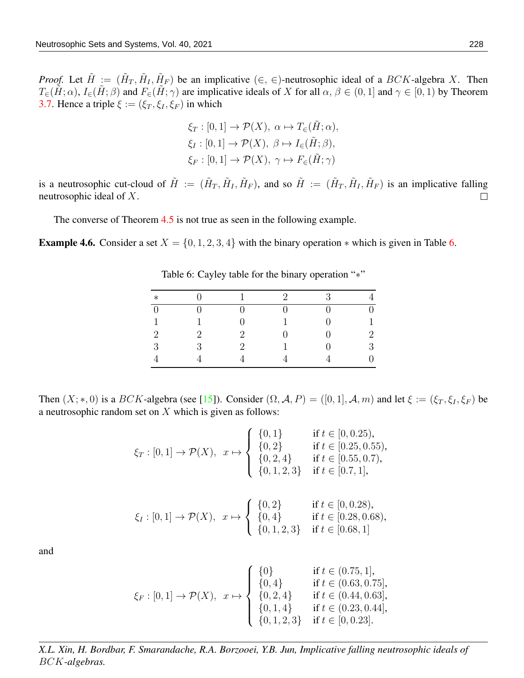*Proof.* Let  $\tilde{H} := (\tilde{H}_T, \tilde{H}_I, \tilde{H}_F)$  be an implicative  $(\in, \in)$ -neutrosophic ideal of a  $BCK$ -algebra X. Then  $T_{\epsilon}(\tilde{H};\alpha)$ ,  $I_{\epsilon}(\tilde{H};\beta)$  and  $F_{\epsilon}(\tilde{H};\gamma)$  are implicative ideals of X for all  $\alpha, \beta \in (0,1]$  and  $\gamma \in [0,1)$  by Theorem [3.7.](#page-7-0) Hence a triple  $\xi := (\xi_T, \xi_I, \xi_F)$  in which

$$
\xi_T : [0,1] \to \mathcal{P}(X), \ \alpha \mapsto T_{\in}(\tilde{H}; \alpha),
$$

$$
\xi_I : [0,1] \to \mathcal{P}(X), \ \beta \mapsto I_{\in}(\tilde{H}; \beta),
$$

$$
\xi_F : [0,1] \to \mathcal{P}(X), \ \gamma \mapsto F_{\in}(\tilde{H}; \gamma)
$$

is a neutrosophic cut-cloud of  $\tilde{H} := (\tilde{H}_T, \tilde{H}_I, \tilde{H}_F)$ , and so  $\tilde{H} := (\tilde{H}_T, \tilde{H}_I, \tilde{H}_F)$  is an implicative falling neutrosophic ideal of X.  $\Box$ 

The converse of Theorem [4.5](#page-13-0) is not true as seen in the following example.

**Example 4.[6.](#page-14-0)** Consider a set  $X = \{0, 1, 2, 3, 4\}$  with the binary operation  $*$  which is given in Table 6.

| $\ast$         |   |                             | $\mathfrak{D}$ | $\mathcal{S}$ |                |
|----------------|---|-----------------------------|----------------|---------------|----------------|
| $\overline{0}$ |   |                             |                | ⋂             | $\overline{0}$ |
| 1              |   |                             |                |               | 1              |
| $\overline{2}$ | 2 | 2                           |                | ∩             | $\overline{2}$ |
| 3              | २ | $\mathcal{D}_{\mathcal{L}}$ |                | ⋂             | 3              |
|                |   |                             |                |               | 0.             |

<span id="page-14-0"></span>Table 6: Cayley table for the binary operation "∗"

Then  $(X;*,0)$  is a  $BCK$ -algebra (see [\[15\]](#page-19-12)). Consider  $(\Omega, \mathcal{A}, P) = ([0,1], \mathcal{A}, m)$  and let  $\xi := (\xi_T, \xi_I, \xi_F)$  be a neutrosophic random set on  $X$  which is given as follows:

$$
\xi_T : [0,1] \to \mathcal{P}(X), \quad x \mapsto \begin{cases} \{0,1\} & \text{if } t \in [0,0.25), \\ \{0,2\} & \text{if } t \in [0.25,0.55), \\ \{0,2,4\} & \text{if } t \in [0.55,0.7), \\ \{0,1,2,3\} & \text{if } t \in [0.7,1], \end{cases}
$$

$$
\xi_I : [0,1] \to \mathcal{P}(X), \quad x \mapsto \begin{cases} \{0,2\} & \text{if } t \in [0,0.28), \\ \{0,4\} & \text{if } t \in [0.28,0.68), \\ \{0,1,2,3\} & \text{if } t \in [0.68,1] \end{cases}
$$

and

$$
\xi_F : [0,1] \to \mathcal{P}(X), \quad x \mapsto \begin{cases}\n\{0\} & \text{if } t \in (0.75,1], \\
\{0,4\} & \text{if } t \in (0.63,0.75], \\
\{0,2,4\} & \text{if } t \in (0.44,0.63], \\
\{0,1,4\} & \text{if } t \in (0.23,0.44], \\
\{0,1,2,3\} & \text{if } t \in [0,0.23].\n\end{cases}
$$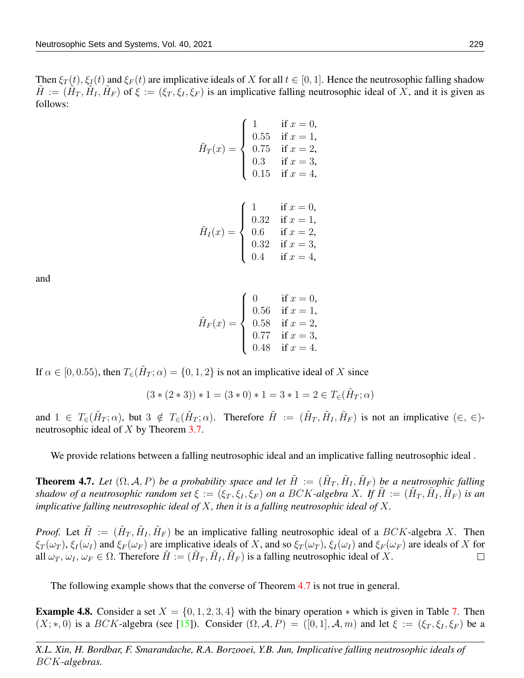Then  $\xi_T(t)$ ,  $\xi_I(t)$  and  $\xi_F(t)$  are implicative ideals of X for all  $t \in [0, 1]$ . Hence the neutrosophic falling shadow  $\tilde{H} := (\tilde{H}_T, \tilde{H}_I, \tilde{H}_F)$  of  $\xi := (\xi_T, \xi_I, \xi_F)$  is an implicative falling neutrosophic ideal of X, and it is given as follows:

$$
\tilde{H}_T(x) = \begin{cases}\n1 & \text{if } x = 0, \\
0.55 & \text{if } x = 1, \\
0.75 & \text{if } x = 2, \\
0.3 & \text{if } x = 3, \\
0.15 & \text{if } x = 4,\n\end{cases}
$$

$$
\tilde{H}_I(x) = \begin{cases}\n1 & \text{if } x = 0, \\
0.32 & \text{if } x = 1, \\
0.6 & \text{if } x = 2, \\
0.32 & \text{if } x = 3, \\
0.4 & \text{if } x = 4,\n\end{cases}
$$

and

$$
\tilde{H}_F(x) = \begin{cases}\n0 & \text{if } x = 0, \\
0.56 & \text{if } x = 1, \\
0.58 & \text{if } x = 2, \\
0.77 & \text{if } x = 3, \\
0.48 & \text{if } x = 4.\n\end{cases}
$$

If  $\alpha \in [0, 0.55)$ , then  $T_{\epsilon}(\tilde{H}_T; \alpha) = \{0, 1, 2\}$  is not an implicative ideal of X since

$$
(3*(2*3))*1 = (3*0)*1 = 3*1 = 2 \in T_{\infty}(\tilde{H}_T; \alpha)
$$

and  $1 \in T_{\epsilon}(\tilde{H}_T; \alpha)$ , but  $3 \notin T_{\epsilon}(\tilde{H}_T; \alpha)$ . Therefore  $\tilde{H} := (\tilde{H}_T, \tilde{H}_I, \tilde{H}_F)$  is not an implicative  $(\epsilon, \epsilon)$ neutrosophic ideal of X by Theorem [3.7.](#page-7-0)

We provide relations between a falling neutrosophic ideal and an implicative falling neutrosophic ideal .

<span id="page-15-0"></span>**Theorem 4.7.** Let  $(\Omega, \mathcal{A}, P)$  be a probability space and let  $\tilde{H} := (\tilde{H}_T, \tilde{H}_I, \tilde{H}_F)$  be a neutrosophic falling *shadow of a neutrosophic random set*  $\xi := (\xi_T, \xi_I, \xi_F)$  *on a BCK-algebra X. If*  $\tilde{H} := (\tilde{H}_T, \tilde{H}_I, \tilde{H}_F)$  *is an implicative falling neutrosophic ideal of* X*, then it is a falling neutrosophic ideal of* X*.*

*Proof.* Let  $\tilde{H} := (\tilde{H}_T, \tilde{H}_I, \tilde{H}_F)$  be an implicative falling neutrosophic ideal of a  $BCK$ -algebra X. Then  $\xi_T(\omega_T)$ ,  $\xi_I(\omega_I)$  and  $\xi_F(\omega_F)$  are implicative ideals of X, and so  $\xi_T(\omega_T)$ ,  $\xi_I(\omega_I)$  and  $\xi_F(\omega_F)$  are ideals of X for all  $\omega_T, \omega_I, \omega_F \in \Omega$ . Therefore  $\tilde{H} := (\tilde{H}_T, \tilde{H}_I, \tilde{H}_F)$  is a falling neutrosophic ideal of X.  $\Box$ 

The following example shows that the converse of Theorem [4.7](#page-15-0) is not true in general.

**Example 4.8.** Consider a set  $X = \{0, 1, 2, 3, 4\}$  with the binary operation  $*$  which is given in Table [7.](#page-16-0) Then  $(X;*,0)$  is a BCK-algebra (see [\[15\]](#page-19-12)). Consider  $(\Omega, \mathcal{A}, P) = ([0,1], \mathcal{A}, m)$  and let  $\xi := (\xi_T, \xi_I, \xi_F)$  be a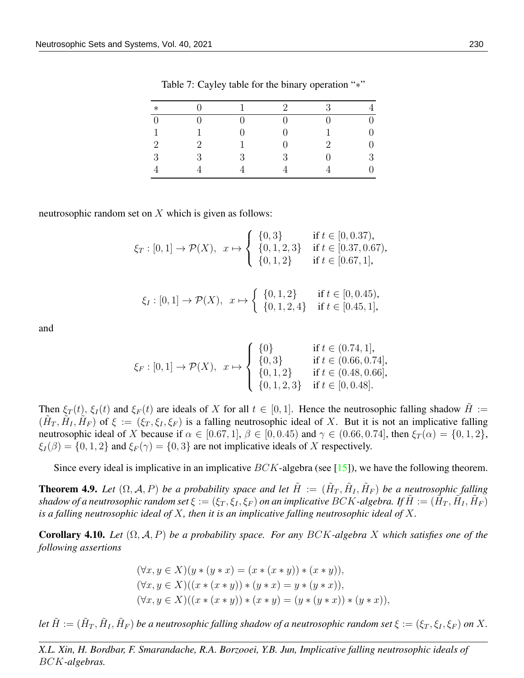| $\ast$         |   |   | $\overline{2}$ | 3                           |                  |
|----------------|---|---|----------------|-----------------------------|------------------|
| $\overline{0}$ |   |   |                | 0                           | $\boldsymbol{0}$ |
|                |   |   |                |                             | 0                |
| $\overline{2}$ | 2 |   |                | $\mathcal{D}_{\mathcal{L}}$ | $\overline{0}$   |
| 3              | 3 | 3 | 3              |                             | 3                |
|                |   |   |                |                             | 0                |

<span id="page-16-0"></span>Table 7: Cayley table for the binary operation "∗"

neutrosophic random set on  $X$  which is given as follows:

$$
\xi_T : [0,1] \to \mathcal{P}(X), \quad x \mapsto \begin{cases} \{0,3\} & \text{if } t \in [0,0.37), \\ \{0,1,2,3\} & \text{if } t \in [0.37,0.67), \\ \{0,1,2\} & \text{if } t \in [0.67,1], \end{cases}
$$

$$
\xi_I : [0,1] \to \mathcal{P}(X), \quad x \mapsto \begin{cases} \{0,1,2\} & \text{if } t \in [0,0.45), \\ \{0,1,2,4\} & \text{if } t \in [0.45,1], \end{cases}
$$

and

$$
\xi_F : [0,1] \to \mathcal{P}(X), \quad x \mapsto \begin{cases} \{0\} & \text{if } t \in (0.74,1], \\ \{0,3\} & \text{if } t \in (0.66,0.74], \\ \{0,1,2\} & \text{if } t \in (0.48,0.66], \\ \{0,1,2,3\} & \text{if } t \in [0,0.48]. \end{cases}
$$

Then  $\xi_T(t)$ ,  $\xi_I(t)$  and  $\xi_F(t)$  are ideals of X for all  $t \in [0,1]$ . Hence the neutrosophic falling shadow  $H :=$  $(\tilde{H}_T, \tilde{H}_I, \tilde{H}_F)$  of  $\xi := (\xi_T, \xi_I, \xi_F)$  is a falling neutrosophic ideal of X. But it is not an implicative falling neutrosophic ideal of X because if  $\alpha \in [0.67, 1]$ ,  $\beta \in [0, 0.45)$  and  $\gamma \in (0.66, 0.74]$ , then  $\xi_T(\alpha) = \{0, 1, 2\}$ ,  $\xi_I(\beta) = \{0, 1, 2\}$  and  $\xi_F(\gamma) = \{0, 3\}$  are not implicative ideals of X respectively.

Since every ideal is implicative in an implicative  $BCK$ -algebra (see [\[15\]](#page-19-12)), we have the following theorem.

**Theorem 4.9.** Let  $(\Omega, \mathcal{A}, P)$  be a probability space and let  $\tilde{H} := (\tilde{H}_T, \tilde{H}_I, \tilde{H}_F)$  be a neutrosophic falling  $s$ hadow of a neutrosophic random set  $\xi:=(\xi_T,\xi_I,\xi_F)$  on an implicative  $BCK$ -algebra. If  $\tilde H:=(\tilde H_T,\tilde H_I,\tilde H_F)$ *is a falling neutrosophic ideal of* X*, then it is an implicative falling neutrosophic ideal of* X*.*

Corollary 4.10. *Let* (Ω, A, P) *be a probability space. For any* BCK*-algebra* X *which satisfies one of the following assertions*

$$
(\forall x, y \in X)(y * (y * x) = (x * (x * y)) * (x * y)),
$$
  

$$
(\forall x, y \in X)((x * (x * y)) * (y * x) = y * (y * x)),
$$
  

$$
(\forall x, y \in X)((x * (x * y)) * (x * y) = (y * (y * x)) * (y * x))
$$

Let  $\tilde{H}:=(\tilde{H}_T,\tilde{H}_I,\tilde{H}_F)$  be a neutrosophic falling shadow of a neutrosophic random set  $\xi:=(\xi_T,\xi_I,\xi_F)$  on  $X.$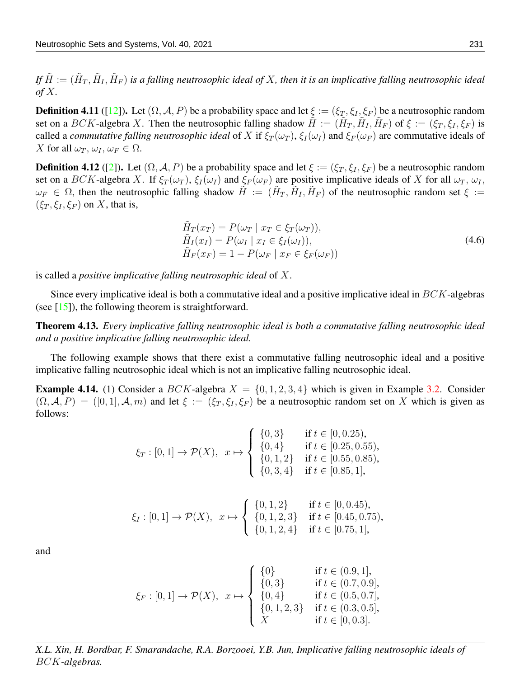If  $\tilde{H}:=(\tilde{H}_T,\tilde{H}_I,\tilde{H}_F)$  is a falling neutrosophic ideal of X, then it is an implicative falling neutrosophic ideal *of* X*.*

**Definition 4.11** ([\[12\]](#page-19-8)). Let  $(\Omega, \mathcal{A}, P)$  be a probability space and let  $\xi := (\xi_T, \xi_I, \xi_F)$  be a neutrosophic random set on a BCK-algebra X. Then the neutrosophic falling shadow  $\tilde{H} := (\tilde{H}_T, \tilde{H}_I, \tilde{H}_F)$  of  $\xi := (\xi_T, \xi_I, \xi_F)$  is called a *commutative falling neutrosophic ideal* of X if  $\xi_T(\omega_T)$ ,  $\xi_I(\omega_I)$  and  $\xi_F(\omega_F)$  are commutative ideals of X for all  $\omega_T$ ,  $\omega_I$ ,  $\omega_F \in \Omega$ .

**Definition 4.12** ([\[2\]](#page-19-9)). Let  $(\Omega, \mathcal{A}, P)$  be a probability space and let  $\xi := (\xi_T, \xi_I, \xi_F)$  be a neutrosophic random set on a BCK-algebra X. If  $\xi_T(\omega_T)$ ,  $\xi_I(\omega_I)$  and  $\xi_F(\omega_F)$  are positive implicative ideals of X for all  $\omega_T$ ,  $\omega_I$ ,  $\omega_F \in \Omega$ , then the neutrosophic falling shadow  $\tilde{H} := (\tilde{H}_T, \tilde{H}_I, \tilde{H}_F)$  of the neutrosophic random set  $\xi :=$  $(\xi_T, \xi_I, \xi_F)$  on X, that is,

$$
\tilde{H}_T(x_T) = P(\omega_T \mid x_T \in \xi_T(\omega_T)), \n\tilde{H}_I(x_I) = P(\omega_I \mid x_I \in \xi_I(\omega_I)), \n\tilde{H}_F(x_F) = 1 - P(\omega_F \mid x_F \in \xi_F(\omega_F))
$$
\n(4.6)

is called a *positive implicative falling neutrosophic ideal* of X.

Since every implicative ideal is both a commutative ideal and a positive implicative ideal in  $BCK$ -algebras (see  $[15]$ ), the following theorem is straightforward.

Theorem 4.13. *Every implicative falling neutrosophic ideal is both a commutative falling neutrosophic ideal and a positive implicative falling neutrosophic ideal.*

The following example shows that there exist a commutative falling neutrosophic ideal and a positive implicative falling neutrosophic ideal which is not an implicative falling neutrosophic ideal.

<span id="page-17-0"></span>**Example 4.14.** (1) Consider a BCK-algebra  $X = \{0, 1, 2, 3, 4\}$  which is given in Example [3.2.](#page-4-1) Consider  $(\Omega, \mathcal{A}, P) = ([0, 1], \mathcal{A}, m)$  and let  $\xi := (\xi_T, \xi_I, \xi_F)$  be a neutrosophic random set on X which is given as follows:

$$
\xi_T : [0,1] \to \mathcal{P}(X), \quad x \mapsto \begin{cases} \{0,3\} & \text{if } t \in [0,0.25), \\ \{0,4\} & \text{if } t \in [0.25,0.55), \\ \{0,1,2\} & \text{if } t \in [0.55,0.85), \\ \{0,3,4\} & \text{if } t \in [0.85,1], \end{cases}
$$

$$
\xi_I : [0,1] \to \mathcal{P}(X), \quad x \mapsto \begin{cases} \{0,1,2\} & \text{if } t \in [0,0.45), \\ \{0,1,2,3\} & \text{if } t \in [0.45,0.75), \\ \{0,1,2,4\} & \text{if } t \in [0.75,1], \end{cases}
$$

and

$$
\xi_F : [0,1] \to \mathcal{P}(X), \quad x \mapsto \begin{cases} \{0\} & \text{if } t \in (0.9,1], \\ \{0,3\} & \text{if } t \in (0.7,0.9], \\ \{0,4\} & \text{if } t \in (0.5,0.7], \\ \{0,1,2,3\} & \text{if } t \in (0.3,0.5], \\ X & \text{if } t \in [0,0.3]. \end{cases}
$$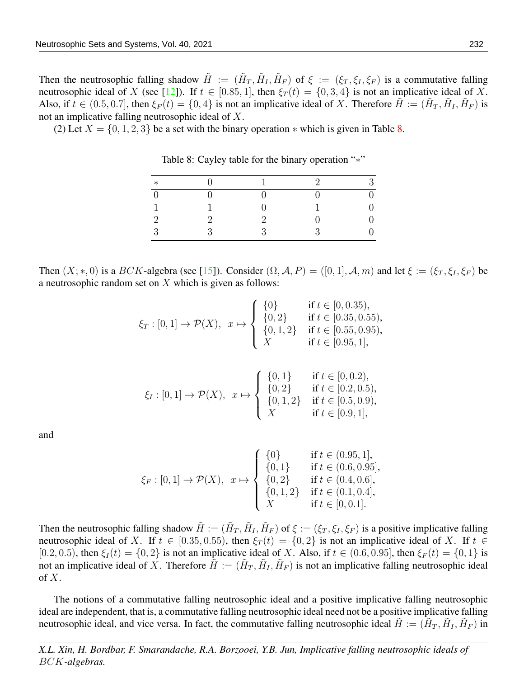Then the neutrosophic falling shadow  $\tilde{H} := (\tilde{H}_T, \tilde{H}_I, \tilde{H}_F)$  of  $\xi := (\xi_T, \xi_I, \xi_F)$  is a commutative falling neutrosophic ideal of X (see [\[12\]](#page-19-8)). If  $t \in [0.85, 1]$ , then  $\xi_T(t) = \{0, 3, 4\}$  is not an implicative ideal of X. Also, if  $t \in (0.5, 0.7]$ , then  $\xi_F(t) = \{0, 4\}$  is not an implicative ideal of X. Therefore  $\tilde{H} := (\tilde{H}_T, \tilde{H}_I, \tilde{H}_F)$  is not an implicative falling neutrosophic ideal of X.

(2) Let  $X = \{0, 1, 2, 3\}$  be a set with the binary operation  $*$  which is given in Table [8.](#page-18-0)

| $\ast$         |          | $\Omega$ | Q |
|----------------|----------|----------|---|
| $\overline{0}$ |          |          |   |
| 1              |          |          |   |
| $\overline{2}$ |          |          |   |
| 3              | $\Omega$ |          |   |
|                |          |          |   |

<span id="page-18-0"></span>Table 8: Cayley table for the binary operation "∗"

Then  $(X;*,0)$  is a  $BCK$ -algebra (see [\[15\]](#page-19-12)). Consider  $(\Omega, \mathcal{A}, P) = ([0,1], \mathcal{A}, m)$  and let  $\xi := (\xi_T, \xi_I, \xi_F)$  be a neutrosophic random set on  $X$  which is given as follows:

$$
\xi_T : [0,1] \to \mathcal{P}(X), \quad x \mapsto \begin{cases} \{0\} & \text{if } t \in [0,0.35), \\ \{0,2\} & \text{if } t \in [0.35,0.55), \\ \{0,1,2\} & \text{if } t \in [0.55,0.95), \\ X & \text{if } t \in [0.95,1], \end{cases}
$$

$$
\xi_I : [0,1] \to \mathcal{P}(X), \quad x \mapsto \begin{cases} \{0,1\} & \text{if } t \in [0,0.2), \\ \{0,2\} & \text{if } t \in [0.2,0.5), \\ \{0,1,2\} & \text{if } t \in [0.5,0.9), \\ X & \text{if } t \in [0.9,1], \end{cases}
$$

and

$$
\xi_F : [0,1] \to \mathcal{P}(X), \quad x \mapsto \begin{cases} \{0\} & \text{if } t \in (0.95,1], \\ \{0,1\} & \text{if } t \in (0.6,0.95], \\ \{0,2\} & \text{if } t \in (0.4,0.6], \\ \{0,1,2\} & \text{if } t \in (0.1,0.4], \\ X & \text{if } t \in [0,0.1]. \end{cases}
$$

Then the neutrosophic falling shadow  $\tilde{H} := (\tilde{H}_T, \tilde{H}_I, \tilde{H}_F)$  of  $\xi := (\xi_T, \xi_I, \xi_F)$  is a positive implicative falling neutrosophic ideal of X. If  $t \in [0.35, 0.55)$ , then  $\xi_T(t) = \{0, 2\}$  is not an implicative ideal of X. If  $t \in$ [0.2, 0.5), then  $\xi_I(t) = \{0, 2\}$  is not an implicative ideal of X. Also, if  $t \in (0.6, 0.95]$ , then  $\xi_F(t) = \{0, 1\}$  is not an implicative ideal of X. Therefore  $\tilde{H} := (\tilde{H}_T, \tilde{H}_I, \tilde{H}_F)$  is not an implicative falling neutrosophic ideal of  $X$ .

The notions of a commutative falling neutrosophic ideal and a positive implicative falling neutrosophic ideal are independent, that is, a commutative falling neutrosophic ideal need not be a positive implicative falling neutrosophic ideal, and vice versa. In fact, the commutative falling neutrosophic ideal  $\tilde{H} := (\tilde{H}_T, \tilde{H}_I, \tilde{H}_F)$  in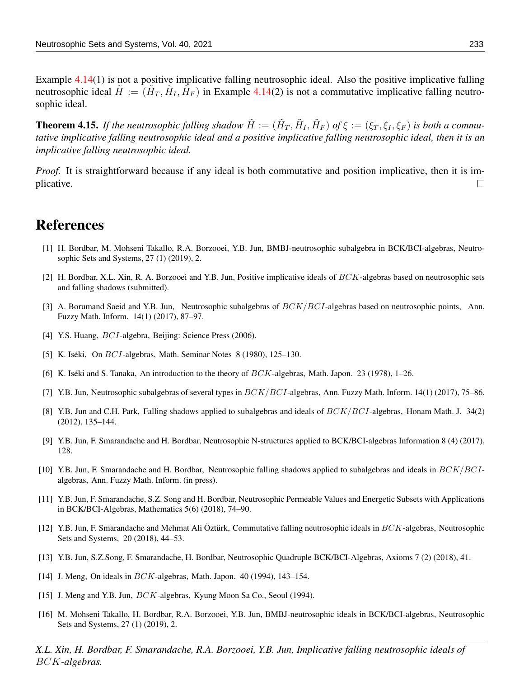Example [4.14\(](#page-17-0)1) is not a positive implicative falling neutrosophic ideal. Also the positive implicative falling neutrosophic ideal  $\tilde{H} := (\tilde{H}_T, \tilde{H}_I, \tilde{H}_F)$  in Example [4.14\(](#page-17-0)2) is not a commutative implicative falling neutrosophic ideal.

**Theorem 4.15.** If the neutrosophic falling shadow  $\tilde{H} := (\tilde{H}_T, \tilde{H}_I, \tilde{H}_F)$  of  $\xi := (\xi_T, \xi_I, \xi_F)$  is both a commu*tative implicative falling neutrosophic ideal and a positive implicative falling neutrosophic ideal, then it is an implicative falling neutrosophic ideal.*

*Proof.* It is straightforward because if any ideal is both commutative and position implicative, then it is implicative.  $\Box$ 

#### References

- <span id="page-19-0"></span>[1] H. Bordbar, M. Mohseni Takallo, R.A. Borzooei, Y.B. Jun, BMBJ-neutrosophic subalgebra in BCK/BCI-algebras, Neutrosophic Sets and Systems, 27 (1) (2019), 2.
- <span id="page-19-9"></span>[2] H. Bordbar, X.L. Xin, R. A. Borzooei and Y.B. Jun, Positive implicative ideals of BCK-algebras based on neutrosophic sets and falling shadows (submitted).
- <span id="page-19-1"></span>[3] A. Borumand Saeid and Y.B. Jun, Neutrosophic subalgebras of  $BCK/BCI$ -algebras based on neutrosophic points, Ann. Fuzzy Math. Inform. 14(1) (2017), 87–97.
- <span id="page-19-13"></span>[4] Y.S. Huang, BCI-algebra, Beijing: Science Press (2006).
- <span id="page-19-10"></span>[5] K. Iséki, On  $BCI$ -algebras, Math. Seminar Notes 8 (1980), 125–130.
- <span id="page-19-11"></span>[6] K. Iséki and S. Tanaka, An introduction to the theory of  $BCK$ -algebras, Math. Japon. 23 (1978), 1–26.
- <span id="page-19-2"></span>[7] Y.B. Jun, Neutrosophic subalgebras of several types in  $BCK/BCI$ -algebras, Ann. Fuzzy Math. Inform. 14(1) (2017), 75–86.
- <span id="page-19-15"></span>[8] Y.B. Jun and C.H. Park, Falling shadows applied to subalgebras and ideals of  $BCK/BCI$ -algebras, Honam Math. J. 34(2) (2012), 135–144.
- <span id="page-19-5"></span>[9] Y.B. Jun, F. Smarandache and H. Bordbar, Neutrosophic N-structures applied to BCK/BCI-algebras Information 8 (4) (2017), 128.
- <span id="page-19-4"></span>[10] Y.B. Jun, F. Smarandache and H. Bordbar, Neutrosophic falling shadows applied to subalgebras and ideals in  $BCK/BCI$ algebras, Ann. Fuzzy Math. Inform. (in press).
- <span id="page-19-6"></span>[11] Y.B. Jun, F. Smarandache, S.Z. Song and H. Bordbar, Neutrosophic Permeable Values and Energetic Subsets with Applications in BCK/BCI-Algebras, Mathematics 5(6) (2018), 74–90.
- <span id="page-19-8"></span>[12] Y.B. Jun, F. Smarandache and Mehmat Ali Öztürk, Commutative falling neutrosophic ideals in  $BCK$ -algebras, Neutrosophic Sets and Systems, 20 (2018), 44–53.
- <span id="page-19-7"></span>[13] Y.B. Jun, S.Z.Song, F. Smarandache, H. Bordbar, Neutrosophic Quadruple BCK/BCI-Algebras, Axioms 7 (2) (2018), 41.
- <span id="page-19-14"></span>[14] J. Meng, On ideals in BCK-algebras, Math. Japon. 40 (1994), 143-154.
- <span id="page-19-12"></span>[15] J. Meng and Y.B. Jun, BCK-algebras, Kyung Moon Sa Co., Seoul (1994).
- <span id="page-19-3"></span>[16] M. Mohseni Takallo, H. Bordbar, R.A. Borzooei, Y.B. Jun, BMBJ-neutrosophic ideals in BCK/BCI-algebras, Neutrosophic Sets and Systems, 27 (1) (2019), 2.